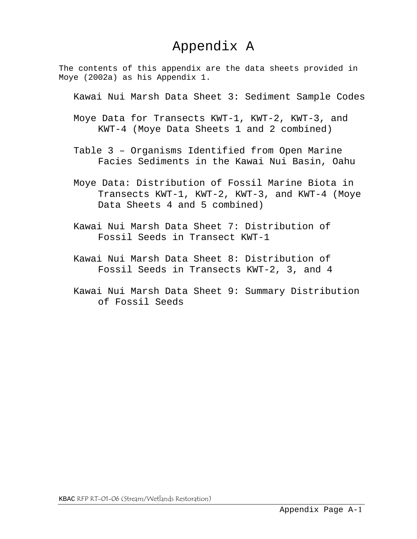## Appendix A

The contents of this appendix are the data sheets provided in Moye (2002a) as his Appendix 1.

Kawai Nui Marsh Data Sheet 3: Sediment Sample Codes

- Moye Data for Transects KWT-1, KWT-2, KWT-3, and KWT-4 (Moye Data Sheets 1 and 2 combined)
- Table 3 Organisms Identified from Open Marine Facies Sediments in the Kawai Nui Basin, Oahu
- Moye Data: Distribution of Fossil Marine Biota in Transects KWT-1, KWT-2, KWT-3, and KWT-4 (Moye Data Sheets 4 and 5 combined)
- Kawai Nui Marsh Data Sheet 7: Distribution of Fossil Seeds in Transect KWT-1
- Kawai Nui Marsh Data Sheet 8: Distribution of Fossil Seeds in Transects KWT-2, 3, and 4
- Kawai Nui Marsh Data Sheet 9: Summary Distribution of Fossil Seeds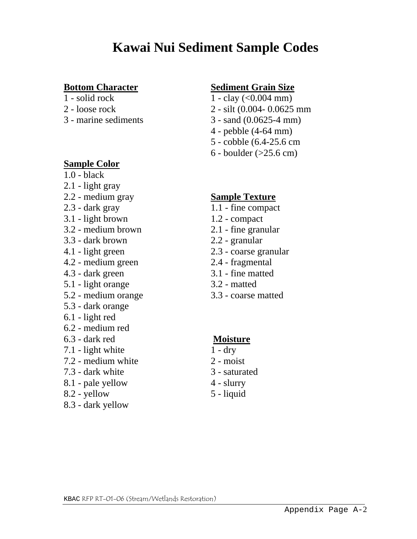- 
- 
- 

### **Sample Color**

- 1.0 black
- 2.1 light gray
- 2.2 medium gray **Sample Texture**
- 
- 3.1 light brown 1.2 compact
- 3.2 medium brown 2.1 fine granular
- 3.3 dark brown 2.2 granular
- 
- 4.2 medium green 2.4 fragmental
- 4.3 dark green 3.1 fine matted
- 5.1 light orange 3.2 matted
- 5.2 medium orange 3.3 coarse matted
- 5.3 dark orange
- 6.1 light red
- 6.2 medium red
- 6.3 dark red **Moisture**
- $7.1$  light white  $1 dry$
- $7.2$  medium white  $2$  moist
- 7.3 dark white 3 saturated
- 8.1 pale yellow 4 slurry
- $8.2$  yellow  $5$  liquid
- 8.3 dark yellow

## **Bottom Character Sediment Grain Size**

- 1 solid rock  $1 \text{clay} (\leq 0.004 \text{ mm})$
- 2 loose rock 2 silt (0.004- 0.0625 mm
- 3 marine sediments 3 sand (0.0625-4 mm)
	- 4 pebble (4-64 mm)
	- 5 cobble (6.4-25.6 cm
	- 6 boulder (>25.6 cm)

- 2.3 dark gray 1.1 fine compact
	-
	-
	-
- 4.1 light green 2.3 coarse granular
	-
	-
	-
	-

- 
- 
- 
- 
-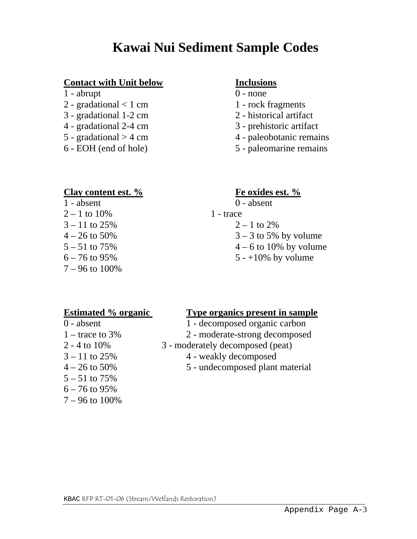### **Contact with Unit below Inclusions**

- $1 -$ abrupt  $0 -$  none
- 2 gradational  $< 1$  cm  $1$  rock fragments
- 3 gradational 1-2 cm 2 historical artifact
- 4 gradational 2-4 cm 3 prehistoric artifact
- 
- 

- 
- 
- 
- 
- $5 \text{gradational} > 4 \text{ cm}$  4 paleobotanic remains
- 6 EOH (end of hole) 5 paleomarine remains

### **Clay content est. % Fe oxides est. %**

 $1 - absent$  0 - absent  $2 - 1$  to  $10\%$  1 - trace  $3 - 11$  to  $25\%$   $2 - 1$  to  $2\%$  $7 - 96$  to  $100\%$ 

- 
- $4 26$  to 50% 3 3 to 5% by volume
- $5 51$  to 75%  $4 6$  to 10% by volume
- $6 76$  to 95%  $5 +10\%$  by volume

5 – 51 to 75% 6 – 76 to 95% 7 – 96 to 100%

### **Estimated % organic Type organics present in sample**

- 0 absent 1 decomposed organic carbon
- 1 trace to 3% 2 moderate-strong decomposed
- 2 4 to 10% 3 moderately decomposed (peat)
- $3 11$  to  $25\%$  4 weakly decomposed
- $4 26$  to 50%  $5 -$  undecomposed plant material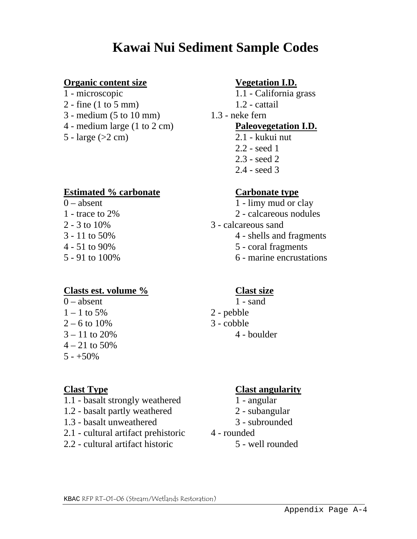### **Organic content size Vegetation I.D.**

- 
- $2 -$  fine (1 to 5 mm)  $1.2 -$  cattail
- 3 medium (5 to 10 mm) 1.3 neke fern
- 4 medium large (1 to 2 cm) **Paleovegetation I.D.**
- $5 \text{large}$  ( $>2 \text{ cm}$ ) 2.1 kukui nut

### **Estimated % carbonate Carbonate type**

- 
- 
- 
- 
- 
- 

### **Clasts est. volume % Clast size**

- $0 -$ absent  $1 -$ sand
- $1 1$  to 5% 2 pebble
- $2 6$  to  $10\%$  3 cobble
- 
- $4 21$  to 50%
- $5 +50\%$

- 1.1 basalt strongly weathered 1 angular
- 1.2 basalt partly weathered 2 subangular
- 1.3 basalt unweathered 3 subrounded
- 2.1 cultural artifact prehistoric 4 rounded
- 2.2 cultural artifact historic 5 well rounded

- 1 microscopic 1.1 California grass
	-

- 
- 2.2 seed 1
- 2.3 seed 2
- 2.4 seed 3

- $0 -$  absent 1 limy mud or clay
- 1 trace to 2% 2 calcareous nodules
- $2 3$  to  $10\%$   $3 \text{calcareous sand}$
- 3 11 to 50% 4 shells and fragments
- 4 51 to 90% 5 coral fragments
- 5 91 to 100% 6 marine encrustations

- 
- 
- 
- $3 11$  to  $20\%$  4 boulder

### **Clast Type Clast angularity**

- 
- 
-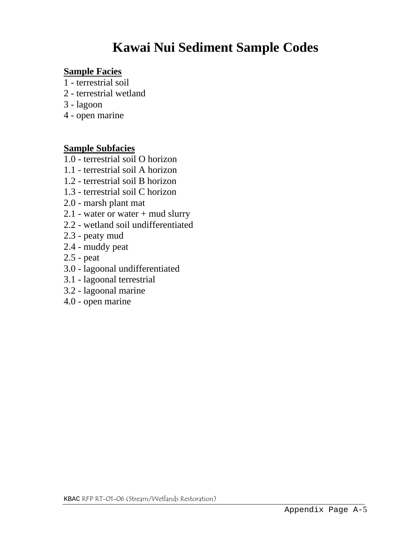### **Sample Facies**

- 1 terrestrial soil
- 2 terrestrial wetland
- 3 lagoon
- 4 open marine

### **Sample Subfacies**

- 1.0 terrestrial soil O horizon
- 1.1 terrestrial soil A horizon
- 1.2 terrestrial soil B horizon
- 1.3 terrestrial soil C horizon
- 2.0 marsh plant mat
- 2.1 water or water + mud slurry
- 2.2 wetland soil undifferentiated
- 2.3 peaty mud
- 2.4 muddy peat
- 2.5 peat
- 3.0 lagoonal undifferentiated
- 3.1 lagoonal terrestrial
- 3.2 lagoonal marine
- 4.0 open marine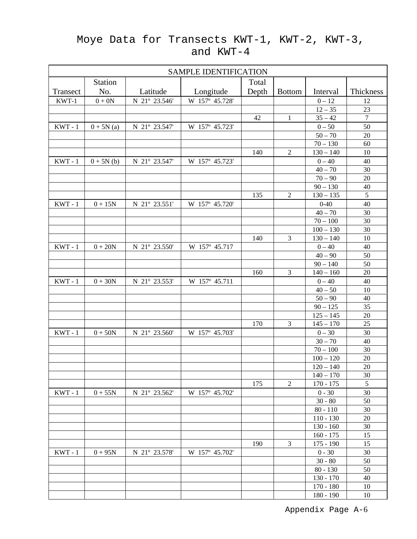## Moye Data for Transects KWT-1, KWT-2, KWT-3, and KWT-4

| <b>SAMPLE IDENTIFICATION</b> |                |               |                |       |                |             |                  |  |  |  |  |
|------------------------------|----------------|---------------|----------------|-------|----------------|-------------|------------------|--|--|--|--|
|                              | <b>Station</b> |               |                | Total |                |             |                  |  |  |  |  |
| Transect                     | No.            | Latitude      | Longitude      | Depth | <b>Bottom</b>  | Interval    | Thickness        |  |  |  |  |
| KWT-1                        | $0 + 0N$       | N 21° 23.546' | W 157° 45.728' |       |                | $0 - 12$    | 12               |  |  |  |  |
|                              |                |               |                |       |                | $12 - 35$   | 23               |  |  |  |  |
|                              |                |               |                | 42    | $\mathbf{1}$   | $35 - 42$   | $\boldsymbol{7}$ |  |  |  |  |
| $KWT - 1$                    | $0 + 5N(a)$    | N 21° 23.547' | W 157° 45.723' |       |                | $0 - 50$    | 50               |  |  |  |  |
|                              |                |               |                |       |                | $50 - 70$   | 20               |  |  |  |  |
|                              |                |               |                |       |                | $70 - 130$  | 60               |  |  |  |  |
|                              |                |               |                | 140   | $\overline{2}$ | $130 - 140$ | 10               |  |  |  |  |
| $KWT - 1$                    | $0 + 5N(b)$    | N 21° 23.547' | W 157° 45.723' |       |                | $0 - 40$    | 40               |  |  |  |  |
|                              |                |               |                |       |                | $40 - 70$   | 30               |  |  |  |  |
|                              |                |               |                |       |                | $70 - 90$   | 20               |  |  |  |  |
|                              |                |               |                |       |                | $90 - 130$  | 40               |  |  |  |  |
|                              |                |               |                | 135   | $\overline{2}$ | $130 - 135$ | $\overline{5}$   |  |  |  |  |
| $KWT - 1$                    | $0 + 15N$      | N 21° 23.551' | W 157° 45.720' |       |                | $0 - 40$    | 40               |  |  |  |  |
|                              |                |               |                |       |                | $40 - 70$   | 30               |  |  |  |  |
|                              |                |               |                |       |                | $70 - 100$  | 30               |  |  |  |  |
|                              |                |               |                |       |                | $100 - 130$ | 30               |  |  |  |  |
|                              |                |               |                | 140   | 3              | $130 - 140$ | 10               |  |  |  |  |
| $KWT - 1$                    | $0 + 20N$      | N 21° 23.550' | W 157° 45.717  |       |                | $0 - 40$    | 40               |  |  |  |  |
|                              |                |               |                |       |                | $40 - 90$   | 50               |  |  |  |  |
|                              |                |               |                |       |                | $90 - 140$  | 50               |  |  |  |  |
|                              |                |               |                | 160   | 3              | $140 - 160$ | 20               |  |  |  |  |
| $KWT - 1$                    | $0 + 30N$      | N 21° 23.553' | W 157° 45.711  |       |                | $0 - 40$    | 40               |  |  |  |  |
|                              |                |               |                |       |                | $40 - 50$   | 10               |  |  |  |  |
|                              |                |               |                |       |                | $50 - 90$   | 40               |  |  |  |  |
|                              |                |               |                |       |                | $90 - 125$  | 35               |  |  |  |  |
|                              |                |               |                |       |                | $125 - 145$ | 20               |  |  |  |  |
|                              |                |               |                | 170   | 3              | $145 - 170$ | 25               |  |  |  |  |
| $KWT - 1$                    | $0+50N$        | N 21° 23.560' | W 157° 45.703' |       |                | $0 - 30$    | 30               |  |  |  |  |
|                              |                |               |                |       |                | $30 - 70$   | 40               |  |  |  |  |
|                              |                |               |                |       |                | $70 - 100$  | 30               |  |  |  |  |
|                              |                |               |                |       |                | $100 - 120$ | 20               |  |  |  |  |
|                              |                |               |                |       |                | $120 - 140$ | 20               |  |  |  |  |
|                              |                |               |                |       |                | $140 - 170$ | 30               |  |  |  |  |
|                              |                |               |                | 175   | $\overline{2}$ | $170 - 175$ | 5                |  |  |  |  |
| $KWT - 1$                    | $0 + 55N$      | N 21° 23.562' | W 157° 45.702' |       |                | $0 - 30$    | 30               |  |  |  |  |
|                              |                |               |                |       |                | $30 - 80$   | 50               |  |  |  |  |
|                              |                |               |                |       |                | $80 - 110$  | 30               |  |  |  |  |
|                              |                |               |                |       |                | $110 - 130$ | 20               |  |  |  |  |
|                              |                |               |                |       |                | $130 - 160$ | 30               |  |  |  |  |
|                              |                |               |                |       |                | $160 - 175$ | 15               |  |  |  |  |
|                              |                |               |                | 190   | 3              | $175 - 190$ | 15               |  |  |  |  |
| $KWT - 1$                    | $0 + 95N$      | N 21° 23.578' | W 157° 45.702' |       |                | $0 - 30$    | 30               |  |  |  |  |
|                              |                |               |                |       |                | $30 - 80$   | 50               |  |  |  |  |
|                              |                |               |                |       |                | $80 - 130$  | 50               |  |  |  |  |
|                              |                |               |                |       |                | $130 - 170$ | 40               |  |  |  |  |
|                              |                |               |                |       |                | $170 - 180$ | 10               |  |  |  |  |
|                              |                |               |                |       |                | $180 - 190$ | 10               |  |  |  |  |

Appendix Page A-6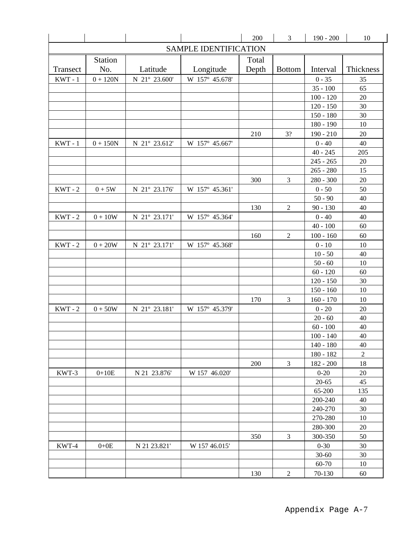|           |                |               |                              | 200   | $\mathfrak{Z}$ | $190 - 200$           | 10             |
|-----------|----------------|---------------|------------------------------|-------|----------------|-----------------------|----------------|
|           |                |               | <b>SAMPLE IDENTIFICATION</b> |       |                |                       |                |
|           | <b>Station</b> |               |                              | Total |                |                       |                |
| Transect  | No.            | Latitude      | Longitude                    | Depth | <b>Bottom</b>  | Interval              | Thickness      |
| $KWT - 1$ | $0 + 120N$     | N 21° 23.600' | W 157° 45.678'               |       |                | $0 - 35$              | 35             |
|           |                |               |                              |       |                | $35 - 100$            | 65             |
|           |                |               |                              |       |                | $100 - 120$           | 20             |
|           |                |               |                              |       |                | $120 - 150$           | 30             |
|           |                |               |                              |       |                | $150 - 180$           | 30             |
|           |                |               |                              |       |                | $180 - 190$           | 10             |
|           |                |               |                              | 210   | 3?             | $190 - 210$           | 20             |
| $KWT - 1$ | $0 + 150N$     | N 21° 23.612' | W 157° 45.667'               |       |                | $0 - 40$              | 40             |
|           |                |               |                              |       |                | $40 - 245$            | 205            |
|           |                |               |                              |       |                | $245 - 265$           | 20             |
|           |                |               |                              |       |                | $265 - 280$           | 15             |
|           |                |               |                              | 300   | $\mathfrak{Z}$ | $280 - 300$           | 20             |
| $KWT - 2$ | $0+5W$         | N 21° 23.176' | W 157° 45.361'               |       |                | $0 - 50$              | 50             |
|           |                |               |                              |       |                | $50 - 90$             | 40             |
|           |                |               |                              | 130   | $\sqrt{2}$     | $90 - 130$            | 40             |
| $KWT - 2$ | $0 + 10W$      | N 21° 23.171' | W 157° 45.364'               |       |                | $0 - 40$              | 40             |
|           |                |               |                              |       |                | $40 - 100$            | 60             |
|           |                |               |                              | 160   | $\mathfrak{2}$ | $100 - 160$           | 60             |
| $KWT - 2$ | $0 + 20W$      | N 21° 23.171' | W 157° 45.368'               |       |                | $0 - 10$              | 10             |
|           |                |               |                              |       |                | $10 - 50$             | 40             |
|           |                |               |                              |       |                | $50 - 60$             | 10             |
|           |                |               |                              |       |                | $60 - 120$            | 60             |
|           |                |               |                              |       |                | $120 - 150$           | 30             |
|           |                |               |                              |       |                | $150 - 160$           | 10             |
|           |                |               |                              | 170   | 3              | $160 - 170$           | 10             |
| $KWT - 2$ | $0+50W$        | N 21° 23.181' | W 157° 45.379'               |       |                | $0 - 20$              | 20             |
|           |                |               |                              |       |                | $20 - 60$             | 40             |
|           |                |               |                              |       |                | $60 - 100$            | 40             |
|           |                |               |                              |       |                | $100 - 140$           | 40             |
|           |                |               |                              |       |                | 140 - 180             | 40             |
|           |                |               |                              |       |                | 180 - 182             | $\overline{2}$ |
|           |                |               |                              | 200   | 3              | $182 - 200$           | 18             |
| KWT-3     | $0+10E$        | N 21 23.876'  | W 157 46.020'                |       |                | $0 - 20$              | 20             |
|           |                |               |                              |       |                | $20 - 65$             | 45             |
|           |                |               |                              |       |                | 65-200                | 135            |
|           |                |               |                              |       |                | 200-240               | 40             |
|           |                |               |                              |       |                | 240-270               | 30             |
|           |                |               |                              |       |                | 270-280               | 10<br>20       |
|           |                |               |                              |       |                | 280-300               |                |
|           |                |               |                              | 350   | 3              | 300-350               | 50             |
| KWT-4     | $0+0E$         | N 21 23.821'  | W 157 46.015'                |       |                | $0 - 30$<br>$30 - 60$ | 30<br>30       |
|           |                |               |                              |       |                | 60-70                 | 10             |
|           |                |               |                              |       |                |                       |                |
|           |                |               |                              | 130   | $\overline{2}$ | 70-130                | 60             |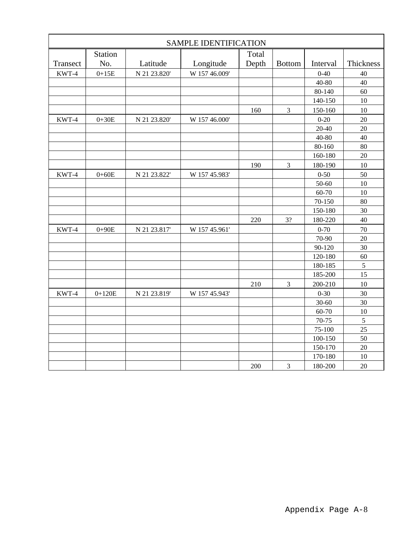|          |                |              | <b>SAMPLE IDENTIFICATION</b> |       |                |           |               |
|----------|----------------|--------------|------------------------------|-------|----------------|-----------|---------------|
|          | <b>Station</b> |              |                              | Total |                |           |               |
| Transect | No.            | Latitude     | Longitude                    | Depth | <b>Bottom</b>  | Interval  | Thickness     |
| KWT-4    | $0+15E$        | N 21 23.820' | W 157 46.009'                |       |                | $0 - 40$  | 40            |
|          |                |              |                              |       |                | $40 - 80$ | 40            |
|          |                |              |                              |       |                | 80-140    | 60            |
|          |                |              |                              |       |                | 140-150   | 10            |
|          |                |              |                              | 160   | 3              | 150-160   | 10            |
| KWT-4    | $0+30E$        | N 21 23.820' | W 157 46.000'                |       |                | $0 - 20$  | 20            |
|          |                |              |                              |       |                | $20 - 40$ | 20            |
|          |                |              |                              |       |                | $40 - 80$ | 40            |
|          |                |              |                              |       |                | 80-160    | 80            |
|          |                |              |                              |       |                | 160-180   | 20            |
|          |                |              |                              | 190   | $\mathfrak{Z}$ | 180-190   | 10            |
| KWT-4    | $0 + 60E$      | N 21 23.822' | W 157 45.983'                |       |                | $0 - 50$  | 50            |
|          |                |              |                              |       |                | 50-60     | 10            |
|          |                |              |                              |       |                | 60-70     | 10            |
|          |                |              |                              |       |                | 70-150    | 80            |
|          |                |              |                              |       |                | 150-180   | 30            |
|          |                |              |                              | 220   | 3?             | 180-220   | 40            |
| KWT-4    | $0+90E$        | N 21 23.817' | W 157 45.961'                |       |                | $0 - 70$  | 70            |
|          |                |              |                              |       |                | 70-90     | 20            |
|          |                |              |                              |       |                | 90-120    | 30            |
|          |                |              |                              |       |                | 120-180   | 60            |
|          |                |              |                              |       |                | 180-185   | $\mathfrak s$ |
|          |                |              |                              |       |                | 185-200   | 15            |
|          |                |              |                              | 210   | $\mathfrak{Z}$ | 200-210   | 10            |
| KWT-4    | $0+120E$       | N 21 23.819' | W 157 45.943'                |       |                | $0 - 30$  | 30            |
|          |                |              |                              |       |                | $30 - 60$ | 30            |
|          |                |              |                              |       |                | 60-70     | 10            |
|          |                |              |                              |       |                | 70-75     | $\sqrt{5}$    |
|          |                |              |                              |       |                | 75-100    | 25            |
|          |                |              |                              |       |                | 100-150   | 50            |
|          |                |              |                              |       |                | 150-170   | 20            |
|          |                |              |                              |       |                | 170-180   | 10            |
|          |                |              |                              | 200   | $\mathfrak{Z}$ | 180-200   | 20            |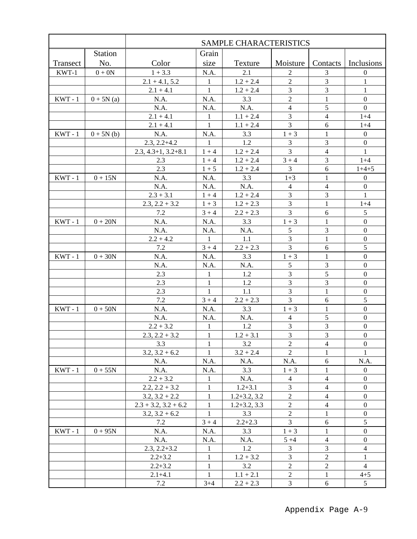|           |             |                                               |              | <b>SAMPLE CHARACTERISTICS</b> |                                  |                                  |                                      |
|-----------|-------------|-----------------------------------------------|--------------|-------------------------------|----------------------------------|----------------------------------|--------------------------------------|
|           | Station     |                                               | Grain        |                               |                                  |                                  |                                      |
| Transect  | No.         | Color                                         | size         | Texture                       | Moisture                         |                                  | Contacts   Inclusions                |
| KWT-1     | $0 + 0N$    | $1 + 3.3$                                     | N.A.         | 2.1                           | 2                                | 3                                | $\boldsymbol{0}$                     |
|           |             | $2.1 + 4.1, 5.2$                              | 1            | $1.2 + 2.4$                   | $\overline{2}$                   | 3                                | 1                                    |
|           |             | $2.1 + 4.1$                                   | $\mathbf{1}$ | $1.2 + 2.4$                   | 3                                | 3                                | $\mathbf{1}$                         |
| $KWT - 1$ | $0 + 5N(a)$ | N.A.                                          | N.A.         | 3.3                           | $\overline{c}$                   | 1                                | $\boldsymbol{0}$                     |
|           |             | N.A.                                          | N.A.         | N.A.                          | $\overline{4}$                   | 5                                | $\overline{0}$                       |
|           |             | $2.1 + 4.1$                                   | 1            | $1.1 + 2.4$                   | 3                                | $\overline{4}$                   | $1 + 4$                              |
|           |             | $2.1 + 4.1$                                   | 1            | $1.1 + 2.4$                   | 3                                | 6                                | $1+4$                                |
| $KWT - 1$ | $0 + 5N(b)$ | N.A.                                          | N.A.         | 3.3                           | $1 + 3$                          | $\mathbf{1}$                     | $\boldsymbol{0}$                     |
|           |             | $2.3, 2.2 + 4.2$                              | $\mathbf{1}$ | 1.2                           | 3                                | 3                                | $\overline{0}$                       |
|           |             | $2.3, 4.3+1, 3.2+8.1$                         | $1 + 4$      | $1.2 + 2.4$                   | 3                                | $\overline{4}$                   | $\mathbf{1}$                         |
|           |             | 2.3                                           | $1 + 4$      | $1.2 + 2.4$                   | $3 + 4$                          | 3                                | $1 + 4$                              |
|           |             | 2.3                                           | $1 + 5$      | $1.2 + 2.4$                   | 3                                | 6                                | $1+4+5$                              |
| $KWT - 1$ | $0 + 15N$   | N.A.                                          | N.A.         | 3.3                           | $1 + 3$                          | 1                                | $\boldsymbol{0}$                     |
|           |             | N.A.                                          | N.A.         | N.A.                          | $\overline{4}$                   | $\overline{4}$                   | $\boldsymbol{0}$                     |
|           |             | $2.3 + 3.1$                                   | $1 + 4$      | $1.2 + 2.4$                   | 3                                | 3                                | 1                                    |
|           |             | $2.3, 2.2 + 3.2$                              | $1 + 3$      | $1.2 + 2.3$                   | 3                                | 1                                | $1 + 4$                              |
|           |             | 7.2                                           | $3 + 4$      | $2.2 + 2.3$                   | 3                                | 6                                | 5                                    |
| $KWT - 1$ | $0 + 20N$   | N.A.                                          | N.A.         | 3.3                           | $1 + 3$                          | 1                                | $\boldsymbol{0}$                     |
|           |             | N.A.                                          | N.A.         | N.A.                          | 5                                | 3                                | $\mathbf 0$                          |
|           |             | $2.2 + 4.2$                                   | 1            | 1.1                           | 3                                | $\mathbf{1}$                     | $\boldsymbol{0}$                     |
|           |             | 7.2                                           | $3 + 4$      | $2.2 + 2.3$                   | 3                                | 6                                | 5                                    |
| $KWT - 1$ | $0 + 30N$   | N.A.                                          | N.A.         | 3.3                           | $1 + 3$                          | $\mathbf{1}$                     | $\boldsymbol{0}$                     |
|           |             | N.A.                                          | N.A.         | N.A.                          | 5                                | 3                                | $\boldsymbol{0}$                     |
|           |             | 2.3                                           | 1            | 1.2                           | 3                                | 5                                | $\mathbf{0}$                         |
|           |             | 2.3                                           | $\mathbf{1}$ | 1.2                           | $\overline{3}$                   | 3                                | $\mathbf{0}$                         |
|           |             | 2.3                                           | $\mathbf{1}$ | 1.1                           | $\overline{3}$                   | $\mathbf{1}$                     | $\boldsymbol{0}$                     |
|           |             | 7.2                                           | $3 + 4$      | $2.2 + 2.3$                   | 3                                | 6                                | 5                                    |
| $KWT - 1$ | $0+50N$     | N.A.                                          | N.A.         | 3.3                           | $1 + 3$                          | 1                                | $\boldsymbol{0}$                     |
|           |             | N.A.                                          | N.A.         | N.A.                          | $\overline{4}$                   | 5                                | $\boldsymbol{0}$                     |
|           |             | $2.2 + 3.2$                                   | $\mathbf{1}$ | 1.2                           | 3                                | 3                                | $\boldsymbol{0}$                     |
|           |             | $2.3, 2.2 + 3.2$                              | $\mathbf{1}$ | $1.2 + 3.1$                   | 3                                | 3                                | $\boldsymbol{0}$                     |
|           |             | 3.3                                           | 1            | 3.2                           | $\boldsymbol{2}$                 | $\overline{4}$                   | $\boldsymbol{0}$                     |
|           |             | $3.2, 3.2 + 6.2$                              | 1            | $3.2 + 2.4$                   | $\overline{2}$                   | 1                                |                                      |
|           |             | N.A.                                          | N.A.         | N.A.                          | N.A.                             | 6                                | N.A.                                 |
| $KWT - 1$ | $0 + 55N$   | N.A.                                          | N.A.         | 3.3                           | $1 + 3$                          | 1                                | $\mathbf{0}$                         |
|           |             | $2.2 + 3.2$                                   | 1            | N.A.                          | 4                                | $\overline{4}$                   | $\boldsymbol{0}$                     |
|           |             | $2.2, 2.2 + 3.2$                              | $\mathbf{1}$ | $1.2 + 3.1$                   | 3                                | $\overline{4}$                   | $\boldsymbol{0}$                     |
|           |             | $3.2, 3.2 + 2.2$                              | 1<br>1       | $1.2 + 3.2, 3.2$              | $\overline{c}$<br>$\overline{2}$ | $\overline{4}$<br>$\overline{4}$ | $\boldsymbol{0}$<br>$\boldsymbol{0}$ |
|           |             | $2.3 + 3.2$ , $3.2 + 6.2$<br>$3.2, 3.2 + 6.2$ | $\mathbf{1}$ | $1.2 + 3.2, 3.3$<br>3.3       | $\overline{2}$                   | 1                                | $\boldsymbol{0}$                     |
|           |             | 7.2                                           | $3 + 4$      | $2.2 + 2.3$                   | $\overline{3}$                   | 6                                | 5                                    |
| $KWT - 1$ | $0 + 95N$   | N.A.                                          | N.A.         | 3.3                           | $1 + 3$                          | 1                                | $\boldsymbol{0}$                     |
|           |             | N.A.                                          | N.A.         | N.A.                          | $5 + 4$                          | $\overline{4}$                   | $\boldsymbol{0}$                     |
|           |             | $2.3, 2.2 + 3.2$                              | $\mathbf{1}$ | 1.2                           | 3                                | 3                                | $\overline{4}$                       |
|           |             | $2.2 + 3.2$                                   | $\mathbf{1}$ | $1.2 + 3.2$                   | 3                                | $\overline{2}$                   | $\mathbf{1}$                         |
|           |             | $2.2 + 3.2$                                   | $\mathbf{1}$ | 3.2                           | $\overline{c}$                   | $\sqrt{2}$                       | $\overline{4}$                       |
|           |             | $2.1 + 4.1$                                   | $\mathbf{1}$ | $1.1 + 2.1$                   | $\mathbf{2}$                     | $\mathbf{1}$                     | $4 + 5$                              |
|           |             | 7.2                                           | $3+4$        | $2.2 + 2.3$                   | 3                                | $6\,$                            | 5 <sup>5</sup>                       |
|           |             |                                               |              |                               |                                  |                                  |                                      |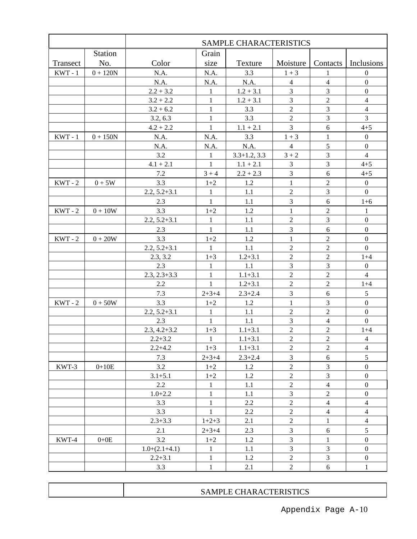|           |                | SAMPLE CHARACTERISTICS         |                       |                  |                                |                         |                                      |  |  |  |  |
|-----------|----------------|--------------------------------|-----------------------|------------------|--------------------------------|-------------------------|--------------------------------------|--|--|--|--|
|           | <b>Station</b> |                                | Grain                 |                  |                                |                         |                                      |  |  |  |  |
| Transect  | No.            | Color                          | size                  | Texture          | Moisture                       | Contacts                | Inclusions                           |  |  |  |  |
| $KWT - 1$ | $0 + 120N$     | N.A.                           | N.A.                  | 3.3              | $1 + 3$                        | 1                       | $\boldsymbol{0}$                     |  |  |  |  |
|           |                | N.A.                           | N.A.                  | N.A.             | $\overline{4}$                 | $\overline{4}$          | $\mathbf{0}$                         |  |  |  |  |
|           |                | $2.2 + 3.2$                    | $\mathbf{1}$          | $1.2 + 3.1$      | 3                              | 3                       | $\boldsymbol{0}$                     |  |  |  |  |
|           |                | $3.2 + 2.2$                    | $\mathbf{1}$          | $1.2 + 3.1$      | 3                              | $\overline{2}$          | $\overline{4}$                       |  |  |  |  |
|           |                | $3.2 + 6.2$                    | $\mathbf{1}$          | 3.3              | $\overline{2}$                 | 3                       | $\overline{4}$                       |  |  |  |  |
|           |                | 3.2, 6.3                       | $\mathbf{1}$          | 3.3              | $\overline{2}$                 | 3                       | $\overline{3}$                       |  |  |  |  |
|           |                | $4.2 + 2.2$                    | $\mathbf{1}$          | $1.1 + 2.1$      | 3                              | 6                       | $4 + 5$                              |  |  |  |  |
| $KWT - 1$ | $0 + 150N$     | N.A.                           | N.A.                  | 3.3              | $1 + 3$                        | 1                       | $\boldsymbol{0}$                     |  |  |  |  |
|           |                | N.A.                           | N.A.                  | N.A.             | $\overline{4}$                 | 5                       | $\boldsymbol{0}$                     |  |  |  |  |
|           |                | 3.2                            | 1                     | $3.3 + 1.2, 3.3$ | $3 + 2$                        | 3                       | $\overline{4}$                       |  |  |  |  |
|           |                | $4.1 + 2.1$                    | $\mathbf{1}$          | $1.1 + 2.1$      | 3                              | 3                       | $4 + 5$                              |  |  |  |  |
|           |                | 7.2                            | $3 + 4$               | $2.2 + 2.3$      | 3                              | 6<br>$\overline{2}$     | $4 + 5$                              |  |  |  |  |
| $KWT - 2$ | $0+5W$         | 3.3<br>$2.2, 5.2 + 3.1$        | $1+2$<br>$\mathbf{1}$ | 1.2<br>1.1       | $\mathbf{1}$<br>$\overline{2}$ | 3                       | $\boldsymbol{0}$<br>$\overline{0}$   |  |  |  |  |
|           |                | 2.3                            | $\mathbf{1}$          | 1.1              | 3                              | 6                       | $1 + 6$                              |  |  |  |  |
| $KWT - 2$ | $0 + 10W$      | 3.3                            | $1+2$                 | 1.2              | 1                              | $\overline{2}$          |                                      |  |  |  |  |
|           |                | $2.2, 5.2 + 3.1$               | $\mathbf{1}$          | 1.1              | $\overline{2}$                 | 3                       | $\mathbf{1}$<br>$\boldsymbol{0}$     |  |  |  |  |
|           |                | 2.3                            | $\mathbf{1}$          | 1.1              | 3                              | 6                       | $\boldsymbol{0}$                     |  |  |  |  |
| $KWT - 2$ | $0 + 20W$      | 3.3                            | $1+2$                 | 1.2              | $\mathbf{1}$                   | $\overline{2}$          | $\boldsymbol{0}$                     |  |  |  |  |
|           |                | $2.2, 5.2 + 3.1$               | 1                     | 1.1              | $\overline{2}$                 | $\overline{c}$          | $\mathbf{0}$                         |  |  |  |  |
|           |                | 2.3, 3.2                       | $1 + 3$               | $1.2 + 3.1$      | $\overline{2}$                 | $\overline{2}$          | $1 + 4$                              |  |  |  |  |
|           |                | 2.3                            | $\mathbf{1}$          | 1.1              | 3                              | 3                       | $\boldsymbol{0}$                     |  |  |  |  |
|           |                | $2.3, 2.3 + 3.3$               | $\mathbf{1}$          | $1.1 + 3.1$      | $\sqrt{2}$                     | $\overline{c}$          | $\overline{4}$                       |  |  |  |  |
|           |                | 2.2                            | 1                     | $1.2 + 3.1$      | $\overline{2}$                 | $\overline{2}$          | $1 + 4$                              |  |  |  |  |
|           |                | 7.3                            | $2 + 3 + 4$           | $2.3 + 2.4$      | 3                              | 6                       | 5                                    |  |  |  |  |
| $KWT - 2$ | $0+50W$        | 3.3                            | $1+2$                 | 1.2              | 1                              | 3                       | $\mathbf{0}$                         |  |  |  |  |
|           |                | $2.2, 5.2 + 3.1$               | 1                     | 1.1              | $\sqrt{2}$                     | $\overline{c}$          | $\boldsymbol{0}$                     |  |  |  |  |
|           |                | 2.3                            | 1                     | 1.1              | 3                              | $\overline{4}$          | $\overline{0}$                       |  |  |  |  |
|           |                | $2.3, 4.2 + 3.2$               | $1 + 3$               | $1.1 + 3.1$      | $\sqrt{2}$                     | $\overline{c}$          | $1 + 4$                              |  |  |  |  |
|           |                | $2.2 + 3.2$                    | $\mathbf{1}$          | $1.1 + 3.1$      | $\sqrt{2}$                     | $\overline{2}$          | $\frac{4}{5}$                        |  |  |  |  |
|           |                | $2.2 + 4.2$                    | $1 + 3$               | $1.1 + 3.1$      | $\overline{2}$                 | $\overline{2}$          | $\overline{4}$                       |  |  |  |  |
|           |                | 7.3                            | $2+3+4$               | $2.3 + 2.4$      | 3                              | 6                       | 5                                    |  |  |  |  |
| KWT-3     | $0 + 10E$      | 3.2                            | $1+2$                 | 1.2              | $\sqrt{2}$                     | 3                       | $\boldsymbol{0}$                     |  |  |  |  |
|           |                | $3.1 + 5.1$                    | $1+2$                 | 1.2              | $\overline{2}$                 | 3                       | $\boldsymbol{0}$                     |  |  |  |  |
|           |                | 2.2                            | $\mathbf{1}$          | 1.1              | $\overline{c}$                 | $\overline{\mathbf{4}}$ | $\boldsymbol{0}$                     |  |  |  |  |
|           |                | $1.0 + 2.2$                    | $\mathbf{1}$          | 1.1              | $\mathfrak{Z}$                 | $\sqrt{2}$              | $\boldsymbol{0}$                     |  |  |  |  |
|           |                | 3.3                            | $\mathbf{1}$          | 2.2              | $\sqrt{2}$                     | $\overline{4}$          | $\overline{4}$                       |  |  |  |  |
|           |                | 3.3                            | $\mathbf{1}$          | 2.2              | $\sqrt{2}$                     | 4                       | $\overline{4}$                       |  |  |  |  |
|           |                | $2.3 + 3.3$                    | $1+2+3$               | 2.1              | $\sqrt{2}$                     | $\mathbf{1}$            | $\overline{4}$                       |  |  |  |  |
|           |                | 2.1                            | $2+3+4$               | 2.3              | 3                              | 6                       | 5                                    |  |  |  |  |
| $KWT-4$   | $0+0E$         | 3.2                            | $1+2$<br>$\mathbf{1}$ | 1.2              | $\mathfrak 3$<br>3             | $\mathbf{1}$<br>3       | $\boldsymbol{0}$<br>$\boldsymbol{0}$ |  |  |  |  |
|           |                | $1.0+(2.1+4.1)$<br>$2.2 + 3.1$ | $\mathbf{1}$          | 1.1<br>1.2       | $\overline{2}$                 | 3                       | $\boldsymbol{0}$                     |  |  |  |  |
|           |                |                                |                       |                  |                                |                         |                                      |  |  |  |  |
|           |                | 3.3                            | $\mathbf{1}$          | 2.1              | $\mathbf{2}$                   | $\sqrt{6}$              | $\mathbf{1}$                         |  |  |  |  |

| <b>CHARACTERISTICS</b><br>SAMP'<br><b>E</b> 6<br>--- |
|------------------------------------------------------|
|                                                      |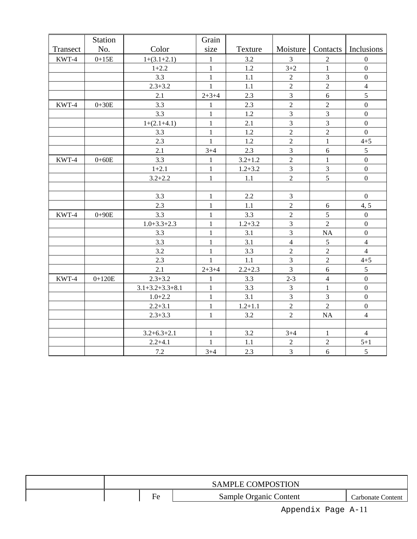|          | Station   |                         | Grain        |             |                |                |                       |
|----------|-----------|-------------------------|--------------|-------------|----------------|----------------|-----------------------|
| Transect | No.       | Color                   | size         | Texture     | Moisture       |                | Contacts   Inclusions |
| KWT-4    | $0+15E$   | $1+(3.1+2.1)$           | $\mathbf{1}$ | 3.2         | 3              | $\overline{2}$ | $\boldsymbol{0}$      |
|          |           | $1+2.2$                 | $\mathbf{1}$ | 1.2         | $3 + 2$        | $\mathbf{1}$   | $\boldsymbol{0}$      |
|          |           | 3.3                     | $\mathbf{1}$ | 1.1         | $\overline{2}$ | $\overline{3}$ | $\boldsymbol{0}$      |
|          |           | $2.3 + 3.2$             | $\mathbf{1}$ | 1.1         | $\overline{2}$ | $\overline{2}$ | $\overline{4}$        |
|          |           | 2.1                     | $2 + 3 + 4$  | 2.3         | $\overline{3}$ | 6              | 5                     |
| KWT-4    | $0+30E$   | 3.3                     | $\mathbf{1}$ | 2.3         | $\overline{c}$ | $\overline{c}$ | $\boldsymbol{0}$      |
|          |           | 3.3                     | $\mathbf{1}$ | 1.2         | $\overline{3}$ | $\overline{3}$ | $\boldsymbol{0}$      |
|          |           | $1+(2.1+4.1)$           | $\mathbf{1}$ | 2.1         | $\overline{3}$ | 3              | $\boldsymbol{0}$      |
|          |           | 3.3                     | $\mathbf{1}$ | 1.2         | $\overline{2}$ | $\overline{2}$ | $\overline{0}$        |
|          |           | 2.3                     | $\mathbf{1}$ | 1.2         | $\overline{2}$ | $\mathbf{1}$   | $4 + 5$               |
|          |           | 2.1                     | $3 + 4$      | 2.3         | $\overline{3}$ | 6              | 5                     |
| KWT-4    | $0 + 60E$ | 3.3                     | $\mathbf{1}$ | $3.2 + 1.2$ | $\overline{2}$ | $\mathbf{1}$   | $\boldsymbol{0}$      |
|          |           | $1 + 2.1$               | $\mathbf{1}$ | $1.2 + 3.2$ | $\overline{3}$ | 3              | $\boldsymbol{0}$      |
|          |           | $3.2 + 2.2$             | $\mathbf{1}$ | 1.1         | $\overline{2}$ | 5              | $\boldsymbol{0}$      |
|          |           |                         |              |             |                |                |                       |
|          |           | 3.3                     | $\mathbf{1}$ | 2.2         | $\overline{3}$ |                | $\boldsymbol{0}$      |
|          |           | 2.3                     | $\mathbf{1}$ | 1.1         | $\overline{2}$ | 6              | 4, 5                  |
| KWT-4    | $0 + 90E$ | 3.3                     | $\mathbf{1}$ | 3.3         | $\overline{2}$ | 5              | $\boldsymbol{0}$      |
|          |           | $1.0 + 3.3 + 2.3$       | $\mathbf{1}$ | $1.2 + 3.2$ | $\overline{3}$ | $\overline{2}$ | $\mathbf{0}$          |
|          |           | 3.3                     | $\mathbf{1}$ | 3.1         | $\overline{3}$ | <b>NA</b>      | $\boldsymbol{0}$      |
|          |           | 3.3                     | $\mathbf{1}$ | 3.1         | $\overline{4}$ | $\sqrt{5}$     | $\overline{4}$        |
|          |           | 3.2                     | $\mathbf{1}$ | 3.3         | $\overline{c}$ | $\overline{2}$ | $\overline{4}$        |
|          |           | 2.3                     | $\mathbf{1}$ | 1.1         | 3              | $\overline{2}$ | $4 + 5$               |
|          |           | 2.1                     | $2 + 3 + 4$  | $2.2 + 2.3$ | $\overline{3}$ | $\sqrt{6}$     | 5                     |
| KWT-4    | $0+120E$  | $2.3 + 3.2$             | $\mathbf{1}$ | 3.3         | $2 - 3$        | $\overline{4}$ | $\boldsymbol{0}$      |
|          |           | $3.1 + 3.2 + 3.3 + 8.1$ | $\mathbf{1}$ | 3.3         | $\overline{3}$ | $\mathbf{1}$   | $\overline{0}$        |
|          |           | $1.0 + 2.2$             | $\mathbf{1}$ | 3.1         | $\overline{3}$ | $\overline{3}$ | $\boldsymbol{0}$      |
|          |           | $2.2 + 3.1$             | $\mathbf{1}$ | $1.2 + 1.1$ | $\overline{2}$ | $\overline{2}$ | $\mathbf 0$           |
|          |           | $2.3 + 3.3$             | $\mathbf{1}$ | 3.2         | $\overline{2}$ | <b>NA</b>      | $\overline{4}$        |
|          |           |                         |              |             |                |                |                       |
|          |           | $3.2 + 6.3 + 2.1$       | $\mathbf{1}$ | 3.2         | $3 + 4$        | $\mathbf{1}$   | $\overline{4}$        |
|          |           | $2.2 + 4.1$             | $\mathbf{1}$ | 1.1         | $\overline{2}$ | $\sqrt{2}$     | $5 + 1$               |
|          |           | 7.2                     | $3 + 4$      | 2.3         | $\mathfrak{Z}$ | 6              | 5                     |

|  |   | <b>SAMPLE COMPOSTION</b> |                   |
|--|---|--------------------------|-------------------|
|  | - | Sample Organic Content   | Carbonate Content |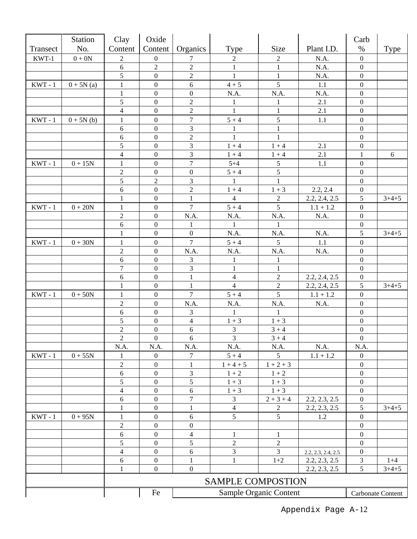|                                        | <b>Station</b>   | Clay                      | Oxide                                |                     |                          |                        |                    | Carb                                 |                   |
|----------------------------------------|------------------|---------------------------|--------------------------------------|---------------------|--------------------------|------------------------|--------------------|--------------------------------------|-------------------|
| Transect                               | No.              | Content                   | Content                              | Organics            | Type                     | Size                   | Plant I.D.         | $\%$                                 | <b>Type</b>       |
| KWT-1                                  | $0 + 0N$         | $\boldsymbol{2}$          | $\boldsymbol{0}$                     | 7                   | 2                        | $\overline{c}$         | N.A.               | $\boldsymbol{0}$                     |                   |
|                                        |                  | 6                         | $\mathbf{2}$                         | $\sqrt{2}$          | $\mathbf{1}$             | $\mathbf{1}$           | N.A.               | $\boldsymbol{0}$                     |                   |
|                                        |                  | 5                         | $\boldsymbol{0}$                     | $\sqrt{2}$          | $\mathbf{1}$             | $\mathbf{1}$           | N.A.               | $\boldsymbol{0}$                     |                   |
| $\ensuremath{\text{KWT}}\xspace$ - $1$ | $0 + 5N(a)$      | $\mathbf{1}$              | $\boldsymbol{0}$                     | $6\,$               | $4 + 5$                  | 5                      | $1.1\,$            | $\boldsymbol{0}$                     |                   |
|                                        |                  | $\mathbf{1}$              | $\boldsymbol{0}$                     | $\boldsymbol{0}$    | N.A.                     | N.A.                   | N.A.               | $\boldsymbol{0}$                     |                   |
|                                        |                  | 5                         | $\boldsymbol{0}$                     | $\boldsymbol{2}$    | 1                        | 1                      | 2.1                | $\boldsymbol{0}$                     |                   |
|                                        |                  | $\overline{4}$            | $\boldsymbol{0}$                     | $\sqrt{2}$          | $\mathbf{1}$             | $\mathbf{1}$           | 2.1                | $\boldsymbol{0}$                     |                   |
| $KWT - 1$                              | $0 + 5N(b)$      | $\mathbf{1}$              | $\boldsymbol{0}$                     | $\boldsymbol{7}$    | $5 + 4$                  | 5                      | 1.1                | $\boldsymbol{0}$                     |                   |
|                                        |                  | 6                         | $\theta$                             | 3                   | $\mathbf{1}$             | 1                      |                    | $\boldsymbol{0}$                     |                   |
|                                        |                  | 6                         | $\boldsymbol{0}$                     | $\overline{2}$      | $\mathbf{1}$             | 1                      |                    | $\boldsymbol{0}$                     |                   |
|                                        |                  | 5                         | $\boldsymbol{0}$                     | 3                   | $1 + 4$                  | $1 + 4$                | 2.1                | $\boldsymbol{0}$                     |                   |
|                                        |                  | $\overline{4}$            | $\boldsymbol{0}$                     | 3                   | $1 + 4$                  | $1 + 4$                | 2.1                | 1                                    | 6                 |
| $KWT - 1$                              | $0+15\mathrm{N}$ | $\mathbf{1}$              | $\boldsymbol{0}$                     | $\boldsymbol{7}$    | $5 + 4$                  | 5                      | 1.1                | $\boldsymbol{0}$                     |                   |
|                                        |                  | $\sqrt{2}$                | $\boldsymbol{0}$                     | $\boldsymbol{0}$    | $5 + 4$                  | 5                      |                    | $\boldsymbol{0}$                     |                   |
|                                        |                  | 5                         | $\sqrt{2}$                           | $\mathfrak{Z}$      | 1                        | $\mathbf{1}$           |                    | $\boldsymbol{0}$                     |                   |
|                                        |                  | $6\phantom{.}6$           | $\boldsymbol{0}$                     | $\boldsymbol{2}$    | $1 + 4$                  | $1 + 3$                | 2.2, 2.4           | $\boldsymbol{0}$                     |                   |
|                                        |                  | $\mathbf{1}$              | $\boldsymbol{0}$                     | $\mathbf{1}$        | $\overline{4}$           | $\sqrt{2}$             | 2.2, 2.4, 2.5      | 5                                    | $3+4+5$           |
| $KWT - 1$                              | $0 + 20N$        | $\mathbf{1}$              | $\boldsymbol{0}$                     | $\overline{7}$      | $5 + 4$                  | 5                      | $1.1 + 1.2$        | $\boldsymbol{0}$                     |                   |
|                                        |                  | $\sqrt{2}$                | $\boldsymbol{0}$                     | N.A.                | N.A.                     | N.A.                   | N.A.               | $\boldsymbol{0}$                     |                   |
|                                        |                  | $\overline{6}$            | $\boldsymbol{0}$                     | 1                   | $\mathbf{1}$             | 1                      |                    | $\boldsymbol{0}$                     |                   |
|                                        |                  | $\mathbf{1}$              | $\boldsymbol{0}$                     | $\boldsymbol{0}$    | N.A.                     | N.A.                   | N.A.               | 5                                    | $3+4+5$           |
| $KWT - 1$                              | $0 + 30N$        | $\mathbf{1}$              | $\boldsymbol{0}$                     | $\overline{7}$      | $5 + 4$                  | 5                      | 1.1                | $\boldsymbol{0}$                     |                   |
|                                        |                  | $\sqrt{2}$                | $\mathbf{0}$                         | N.A.                | N.A.                     | N.A.                   | N.A.               | $\boldsymbol{0}$                     |                   |
|                                        |                  | $\sqrt{6}$                | $\boldsymbol{0}$                     | 3                   | $\mathbf{1}$             | 1                      |                    | $\boldsymbol{0}$                     |                   |
|                                        |                  | $\overline{7}$            | $\boldsymbol{0}$                     | 3                   | $\mathbf{1}$             | $\mathbf{1}$           |                    | $\boldsymbol{0}$                     |                   |
|                                        |                  | 6                         | $\boldsymbol{0}$                     | $\mathbf{1}$        | $\overline{4}$           | $\overline{2}$         | 2.2, 2.4, 2.5      | $\boldsymbol{0}$                     |                   |
|                                        |                  | $\mathbf{1}$              | $\boldsymbol{0}$                     | $\mathbf{1}$        | $\overline{4}$           | $\sqrt{2}$             | 2.2, 2.4, 2.5      | 5                                    | $3+4+5$           |
| $KWT - 1$                              | $0+50\mathrm{N}$ | $\mathbf{1}$              | $\boldsymbol{0}$                     | $\overline{7}$      | $5 + 4$                  | 5                      | $1.1 + 1.2$        | $\boldsymbol{0}$                     |                   |
|                                        |                  | $\sqrt{2}$                | $\boldsymbol{0}$                     | N.A.                | N.A.                     | N.A.                   | N.A.               | $\boldsymbol{0}$                     |                   |
|                                        |                  | $6\phantom{.}6$           | $\boldsymbol{0}$                     | 3                   | 1                        | 1                      |                    | $\boldsymbol{0}$                     |                   |
|                                        |                  | 5                         | $\boldsymbol{0}$                     | $\overline{4}$      | $1 + 3$                  | $1 + 3$                |                    | $\boldsymbol{0}$                     |                   |
|                                        |                  | $\overline{c}$            | $\boldsymbol{0}$                     | $\sqrt{6}$          | 3                        | $3 + 4$                |                    | $\boldsymbol{0}$                     |                   |
|                                        |                  | $\overline{2}$            | $\boldsymbol{0}$                     | 6                   | $\overline{3}$           | $3 + 4$                |                    | $\boldsymbol{0}$                     |                   |
|                                        |                  | N.A.                      | N.A.                                 | N.A.                | N.A.                     | N.A.                   | N.A.               | N.A.                                 |                   |
| $KWT - 1$                              | $0+55N$          |                           | $\boldsymbol{0}$                     | 7                   | $5 + 4$                  | 5                      | $1.1 + 1.2$        | $\boldsymbol{0}$                     |                   |
|                                        |                  | $\boldsymbol{2}$<br>$6\,$ | $\boldsymbol{0}$<br>$\boldsymbol{0}$ | 1<br>$\mathfrak{Z}$ | $1 + 4 + 5$              | $1 + 2 + 3$            |                    | $\boldsymbol{0}$<br>$\boldsymbol{0}$ |                   |
|                                        |                  | $\sqrt{5}$                | $\boldsymbol{0}$                     | 5                   | $1 + 2$<br>$1 + 3$       | $1 + 2$<br>$1 + 3$     |                    | $\boldsymbol{0}$                     |                   |
|                                        |                  | $\overline{4}$            | $\boldsymbol{0}$                     | 6                   | $1 + 3$                  | $1 + 3$                |                    | $\boldsymbol{0}$                     |                   |
|                                        |                  | $\sqrt{6}$                | $\boldsymbol{0}$                     | $\boldsymbol{7}$    | $\overline{3}$           | $2 + 3 + 4$            | 2.2, 2.3, 2.5      | $\boldsymbol{0}$                     |                   |
|                                        |                  | $\mathbf{1}$              | $\boldsymbol{0}$                     | 1                   | $\overline{4}$           | $\overline{2}$         | 2.2, 2.3, 2.5      | 5                                    | $3+4+5$           |
| $KWT - 1$                              | $0 + 95N$        | $\mathbf{1}$              | $\boldsymbol{0}$                     | $\sqrt{6}$          | 5                        | 5                      | 1.2                | $\boldsymbol{0}$                     |                   |
|                                        |                  | $\boldsymbol{2}$          | 0                                    | $\boldsymbol{0}$    |                          |                        |                    | $\boldsymbol{0}$                     |                   |
|                                        |                  | $\sqrt{6}$                | $\boldsymbol{0}$                     | $\overline{4}$      |                          | 1                      |                    | $\boldsymbol{0}$                     |                   |
|                                        |                  | $\sqrt{5}$                | $\boldsymbol{0}$                     | 5                   | $\overline{c}$           | $\sqrt{2}$             |                    | $\boldsymbol{0}$                     |                   |
|                                        |                  | $\overline{4}$            | $\boldsymbol{0}$                     | 6                   | 3                        | 3                      | 2.2, 2.3, 2.4, 2.5 | $\mathbf{0}$                         |                   |
|                                        |                  | $\sqrt{6}$                | $\boldsymbol{0}$                     | 1                   |                          | $1 + 2$                | 2.2, 2.3, 2.5      | 3                                    | $1+4$             |
|                                        |                  | $\mathbf{1}$              | $\boldsymbol{0}$                     | $\mathbf{0}$        |                          |                        | 2.2, 2.3, 2.5      | 5                                    | $3 + 4 + 5$       |
|                                        |                  |                           |                                      |                     | <b>SAMPLE COMPOSTION</b> |                        |                    |                                      |                   |
|                                        |                  |                           | Fe                                   |                     |                          | Sample Organic Content |                    |                                      | Carbonate Content |
|                                        |                  |                           |                                      |                     |                          |                        |                    |                                      |                   |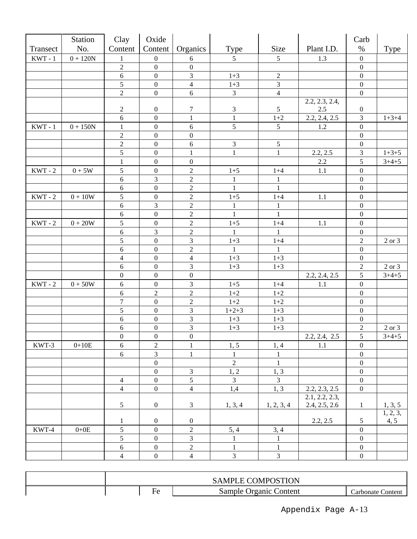| Size<br>No.<br>Content<br>Content<br>Type<br>Plant I.D.<br>Organics<br>%<br>Type<br>Transect<br>$0 + 120N$<br>$5\overline{)}$<br>5<br>$KWT - 1$<br>$\boldsymbol{0}$<br>1.3<br>$\boldsymbol{0}$<br>$\mathbf{1}$<br>6<br>$\overline{2}$<br>$\overline{0}$<br>$\boldsymbol{0}$<br>$\boldsymbol{0}$<br>3<br>6<br>$\boldsymbol{0}$<br>$1 + 3$<br>$\sqrt{2}$<br>$\boldsymbol{0}$<br>$\overline{5}$<br>3<br>$\overline{4}$<br>$\boldsymbol{0}$<br>$1 + 3$<br>$\boldsymbol{0}$<br>$\overline{2}$<br>$\boldsymbol{0}$<br>$\overline{3}$<br>6<br>$\overline{4}$<br>$\boldsymbol{0}$<br>2.2, 2.3, 2.4,<br>$\boldsymbol{7}$<br>$\mathfrak{Z}$<br>$\boldsymbol{2}$<br>$\boldsymbol{0}$<br>$\mathfrak{S}$<br>2.5<br>$\boldsymbol{0}$<br>6<br>$\mathbf{1}$<br>2.2, 2.4, 2.5<br>$1+2$<br>3<br>$1 + 3 + 4$<br>$\mathbf{0}$<br>$\mathbf{1}$<br>5<br>$\boldsymbol{0}$<br>$\boldsymbol{0}$<br>$KWT - 1$<br>$0 + 150N$<br>$\sqrt{6}$<br>$5\,$<br>1.2<br>$\mathbf{1}$<br>$\sqrt{2}$<br>$\mathbf{0}$<br>$\boldsymbol{0}$<br>$\boldsymbol{0}$<br>$\overline{2}$<br>$\mathfrak{Z}$<br>$\sqrt{6}$<br>5<br>$\mathbf{0}$<br>$\boldsymbol{0}$<br>$\overline{5}$<br>$\boldsymbol{0}$<br>$\mathbf{1}$<br>$\mathbf{1}$<br>$\mathbf{1}$<br>2.2, 2.5<br>3<br>$1+3+5$<br>5<br>$3+4+5$<br>$\boldsymbol{0}$<br>$\boldsymbol{0}$<br>2.2<br>$\mathbf{1}$<br>5<br>$\sqrt{2}$<br>$KWT - 2$<br>$0+5\mathrm{W}$<br>$\mathbf{0}$<br>$\boldsymbol{0}$<br>$1 + 5$<br>$1 + 4$<br>1.1<br>$6\,$<br>$\overline{c}$<br>$\mathfrak{Z}$<br>$\boldsymbol{0}$<br>1<br>1<br>$\overline{2}$<br>$6\,$<br>$\boldsymbol{0}$<br>$\mathbf{1}$<br>$\mathbf{1}$<br>$\boldsymbol{0}$<br>5<br>$\boldsymbol{2}$<br>$KWT - 2$<br>$0 + 10W$<br>$\boldsymbol{0}$<br>$\boldsymbol{0}$<br>$1 + 5$<br>$1 + 4$<br>1.1<br>$\sqrt{6}$<br>$\mathfrak{Z}$<br>$\sqrt{2}$<br>$\mathbf{1}$<br>$\mathbf{1}$<br>$\boldsymbol{0}$<br>$\boldsymbol{2}$<br>$6\phantom{a}$<br>$\boldsymbol{0}$<br>$\mathbf{1}$<br>$\mathbf{1}$<br>$\boldsymbol{0}$<br>5<br>$\boldsymbol{2}$<br>$KWT - 2$<br>$\boldsymbol{0}$<br>$0 + 20W$<br>1.1<br>$\boldsymbol{0}$<br>$1 + 5$<br>$1 + 4$<br>3<br>$\boldsymbol{2}$<br>$6\,$<br>$\boldsymbol{0}$<br>$\mathbf{1}$<br>$\mathbf{1}$<br>$\overline{5}$<br>$\overline{3}$<br>$\overline{c}$<br>$\boldsymbol{0}$<br>$1 + 3$<br>$1 + 4$<br>2 or 3<br>$\sqrt{2}$<br>$6\,$<br>$\boldsymbol{0}$<br>$\boldsymbol{0}$<br>1<br>-1<br>$\overline{4}$<br>$\overline{4}$<br>$\mathbf{0}$<br>$1 + 3$<br>$1 + 3$<br>$\boldsymbol{0}$<br>3<br>6<br>$\boldsymbol{0}$<br>$1 + 3$<br>$1 + 3$<br>$\overline{c}$<br>2 or 3<br>5<br>$\boldsymbol{0}$<br>$\boldsymbol{0}$<br>$\boldsymbol{0}$<br>2.2, 2.4, 2.5<br>$3+4+5$<br>3<br>$KWT - 2$<br>$\sqrt{6}$<br>$0+50\mathrm{W}$<br>$\mathbf{0}$<br>$1 + 5$<br>$1 + 4$<br>$\boldsymbol{0}$<br>1.1<br>$\boldsymbol{2}$<br>$6\phantom{.}6$<br>$\overline{c}$<br>$1 + 2$<br>$1+2$<br>$\boldsymbol{0}$<br>$\boldsymbol{7}$<br>$\sqrt{2}$<br>$\boldsymbol{0}$<br>$1 + 2$<br>$1 + 2$<br>$\boldsymbol{0}$<br>5<br>$\overline{3}$<br>$\boldsymbol{0}$<br>$1+2+3$<br>$1 + 3$<br>$\boldsymbol{0}$<br>3<br>$\sqrt{6}$<br>$\boldsymbol{0}$<br>$1 + 3$<br>$\boldsymbol{0}$<br>$1+3$<br>$\overline{3}$<br>$\sqrt{6}$<br>$\boldsymbol{0}$<br>$\overline{c}$<br>2 or 3<br>$1 + 3$<br>$1 + 3$<br>5<br>$\boldsymbol{0}$<br>$\boldsymbol{0}$<br>2.2, 2.4, 2.5<br>$3+4+5$<br>$\boldsymbol{0}$<br>KWT-3<br>$\overline{2}$<br>1, 5<br>$0+10E$<br>6<br>$\mathbf{1}$<br>$\overline{0}$<br>1.1<br>1, 4<br>3<br>6<br>$\mathbf{1}$<br>0<br>1<br>$\overline{2}$<br>$\boldsymbol{0}$<br>$\mathbf{1}$<br>$\boldsymbol{0}$<br>$\boldsymbol{0}$<br>$\mathfrak{Z}$<br>1, 3<br>1, 2<br>$\boldsymbol{0}$<br>$\mathfrak{S}$<br>$\overline{3}$<br>$\mathbf{0}$<br>3<br>$\overline{4}$<br>$\boldsymbol{0}$<br>$\overline{4}$<br>1,4<br>1, 3<br>$\mathbf{0}$<br>$\overline{4}$<br>2.2, 2.3, 2.5<br>$\boldsymbol{0}$<br>2.1, 2.2, 2.3,<br>$5\,$<br>2.4, 2.5, 2.6<br>$\boldsymbol{0}$<br>3<br>1, 2, 3, 4<br>1, 3, 5<br>1, 3, 4<br>$\mathbf{1}$<br>1, 2, 3,<br>2.2, 2.5<br>4, 5<br>$\boldsymbol{0}$<br>$\boldsymbol{0}$<br>5<br>$\mathbf{1}$<br>5<br>$\sqrt{2}$<br>KWT-4<br>$\mathbf{0}$<br>5, 4<br>3, 4<br>$0+0E$<br>$\boldsymbol{0}$<br>$\mathfrak{S}$<br>3<br>$\boldsymbol{0}$<br>$\mathbf{1}$<br>$\mathbf{1}$<br>$\boldsymbol{0}$<br>$\boldsymbol{0}$<br>$\overline{c}$<br>$6\,$<br>$\mathbf{1}$<br>$\mathbf{1}$<br>$\boldsymbol{0}$ | <b>Station</b> | Clay           | Oxide            |                |                |   | Carb             |  |
|------------------------------------------------------------------------------------------------------------------------------------------------------------------------------------------------------------------------------------------------------------------------------------------------------------------------------------------------------------------------------------------------------------------------------------------------------------------------------------------------------------------------------------------------------------------------------------------------------------------------------------------------------------------------------------------------------------------------------------------------------------------------------------------------------------------------------------------------------------------------------------------------------------------------------------------------------------------------------------------------------------------------------------------------------------------------------------------------------------------------------------------------------------------------------------------------------------------------------------------------------------------------------------------------------------------------------------------------------------------------------------------------------------------------------------------------------------------------------------------------------------------------------------------------------------------------------------------------------------------------------------------------------------------------------------------------------------------------------------------------------------------------------------------------------------------------------------------------------------------------------------------------------------------------------------------------------------------------------------------------------------------------------------------------------------------------------------------------------------------------------------------------------------------------------------------------------------------------------------------------------------------------------------------------------------------------------------------------------------------------------------------------------------------------------------------------------------------------------------------------------------------------------------------------------------------------------------------------------------------------------------------------------------------------------------------------------------------------------------------------------------------------------------------------------------------------------------------------------------------------------------------------------------------------------------------------------------------------------------------------------------------------------------------------------------------------------------------------------------------------------------------------------------------------------------------------------------------------------------------------------------------------------------------------------------------------------------------------------------------------------------------------------------------------------------------------------------------------------------------------------------------------------------------------------------------------------------------------------------------------------------------------------------------------------------------------------------------------------------------------------------------------------------------------------------------------------------------------------------------------------------------------------------------------------------------------------------------------------------------------------------------------------------------------------------------------------------------------------------------------------------------------------------------------------------------------------------------------------------------------------------------------------------------------------------------------------------------------------------|----------------|----------------|------------------|----------------|----------------|---|------------------|--|
|                                                                                                                                                                                                                                                                                                                                                                                                                                                                                                                                                                                                                                                                                                                                                                                                                                                                                                                                                                                                                                                                                                                                                                                                                                                                                                                                                                                                                                                                                                                                                                                                                                                                                                                                                                                                                                                                                                                                                                                                                                                                                                                                                                                                                                                                                                                                                                                                                                                                                                                                                                                                                                                                                                                                                                                                                                                                                                                                                                                                                                                                                                                                                                                                                                                                                                                                                                                                                                                                                                                                                                                                                                                                                                                                                                                                                                                                                                                                                                                                                                                                                                                                                                                                                                                                                                                                                            |                |                |                  |                |                |   |                  |  |
|                                                                                                                                                                                                                                                                                                                                                                                                                                                                                                                                                                                                                                                                                                                                                                                                                                                                                                                                                                                                                                                                                                                                                                                                                                                                                                                                                                                                                                                                                                                                                                                                                                                                                                                                                                                                                                                                                                                                                                                                                                                                                                                                                                                                                                                                                                                                                                                                                                                                                                                                                                                                                                                                                                                                                                                                                                                                                                                                                                                                                                                                                                                                                                                                                                                                                                                                                                                                                                                                                                                                                                                                                                                                                                                                                                                                                                                                                                                                                                                                                                                                                                                                                                                                                                                                                                                                                            |                |                |                  |                |                |   |                  |  |
|                                                                                                                                                                                                                                                                                                                                                                                                                                                                                                                                                                                                                                                                                                                                                                                                                                                                                                                                                                                                                                                                                                                                                                                                                                                                                                                                                                                                                                                                                                                                                                                                                                                                                                                                                                                                                                                                                                                                                                                                                                                                                                                                                                                                                                                                                                                                                                                                                                                                                                                                                                                                                                                                                                                                                                                                                                                                                                                                                                                                                                                                                                                                                                                                                                                                                                                                                                                                                                                                                                                                                                                                                                                                                                                                                                                                                                                                                                                                                                                                                                                                                                                                                                                                                                                                                                                                                            |                |                |                  |                |                |   |                  |  |
|                                                                                                                                                                                                                                                                                                                                                                                                                                                                                                                                                                                                                                                                                                                                                                                                                                                                                                                                                                                                                                                                                                                                                                                                                                                                                                                                                                                                                                                                                                                                                                                                                                                                                                                                                                                                                                                                                                                                                                                                                                                                                                                                                                                                                                                                                                                                                                                                                                                                                                                                                                                                                                                                                                                                                                                                                                                                                                                                                                                                                                                                                                                                                                                                                                                                                                                                                                                                                                                                                                                                                                                                                                                                                                                                                                                                                                                                                                                                                                                                                                                                                                                                                                                                                                                                                                                                                            |                |                |                  |                |                |   |                  |  |
|                                                                                                                                                                                                                                                                                                                                                                                                                                                                                                                                                                                                                                                                                                                                                                                                                                                                                                                                                                                                                                                                                                                                                                                                                                                                                                                                                                                                                                                                                                                                                                                                                                                                                                                                                                                                                                                                                                                                                                                                                                                                                                                                                                                                                                                                                                                                                                                                                                                                                                                                                                                                                                                                                                                                                                                                                                                                                                                                                                                                                                                                                                                                                                                                                                                                                                                                                                                                                                                                                                                                                                                                                                                                                                                                                                                                                                                                                                                                                                                                                                                                                                                                                                                                                                                                                                                                                            |                |                |                  |                |                |   |                  |  |
|                                                                                                                                                                                                                                                                                                                                                                                                                                                                                                                                                                                                                                                                                                                                                                                                                                                                                                                                                                                                                                                                                                                                                                                                                                                                                                                                                                                                                                                                                                                                                                                                                                                                                                                                                                                                                                                                                                                                                                                                                                                                                                                                                                                                                                                                                                                                                                                                                                                                                                                                                                                                                                                                                                                                                                                                                                                                                                                                                                                                                                                                                                                                                                                                                                                                                                                                                                                                                                                                                                                                                                                                                                                                                                                                                                                                                                                                                                                                                                                                                                                                                                                                                                                                                                                                                                                                                            |                |                |                  |                |                |   |                  |  |
|                                                                                                                                                                                                                                                                                                                                                                                                                                                                                                                                                                                                                                                                                                                                                                                                                                                                                                                                                                                                                                                                                                                                                                                                                                                                                                                                                                                                                                                                                                                                                                                                                                                                                                                                                                                                                                                                                                                                                                                                                                                                                                                                                                                                                                                                                                                                                                                                                                                                                                                                                                                                                                                                                                                                                                                                                                                                                                                                                                                                                                                                                                                                                                                                                                                                                                                                                                                                                                                                                                                                                                                                                                                                                                                                                                                                                                                                                                                                                                                                                                                                                                                                                                                                                                                                                                                                                            |                |                |                  |                |                |   |                  |  |
|                                                                                                                                                                                                                                                                                                                                                                                                                                                                                                                                                                                                                                                                                                                                                                                                                                                                                                                                                                                                                                                                                                                                                                                                                                                                                                                                                                                                                                                                                                                                                                                                                                                                                                                                                                                                                                                                                                                                                                                                                                                                                                                                                                                                                                                                                                                                                                                                                                                                                                                                                                                                                                                                                                                                                                                                                                                                                                                                                                                                                                                                                                                                                                                                                                                                                                                                                                                                                                                                                                                                                                                                                                                                                                                                                                                                                                                                                                                                                                                                                                                                                                                                                                                                                                                                                                                                                            |                |                |                  |                |                |   |                  |  |
|                                                                                                                                                                                                                                                                                                                                                                                                                                                                                                                                                                                                                                                                                                                                                                                                                                                                                                                                                                                                                                                                                                                                                                                                                                                                                                                                                                                                                                                                                                                                                                                                                                                                                                                                                                                                                                                                                                                                                                                                                                                                                                                                                                                                                                                                                                                                                                                                                                                                                                                                                                                                                                                                                                                                                                                                                                                                                                                                                                                                                                                                                                                                                                                                                                                                                                                                                                                                                                                                                                                                                                                                                                                                                                                                                                                                                                                                                                                                                                                                                                                                                                                                                                                                                                                                                                                                                            |                |                |                  |                |                |   |                  |  |
|                                                                                                                                                                                                                                                                                                                                                                                                                                                                                                                                                                                                                                                                                                                                                                                                                                                                                                                                                                                                                                                                                                                                                                                                                                                                                                                                                                                                                                                                                                                                                                                                                                                                                                                                                                                                                                                                                                                                                                                                                                                                                                                                                                                                                                                                                                                                                                                                                                                                                                                                                                                                                                                                                                                                                                                                                                                                                                                                                                                                                                                                                                                                                                                                                                                                                                                                                                                                                                                                                                                                                                                                                                                                                                                                                                                                                                                                                                                                                                                                                                                                                                                                                                                                                                                                                                                                                            |                |                |                  |                |                |   |                  |  |
|                                                                                                                                                                                                                                                                                                                                                                                                                                                                                                                                                                                                                                                                                                                                                                                                                                                                                                                                                                                                                                                                                                                                                                                                                                                                                                                                                                                                                                                                                                                                                                                                                                                                                                                                                                                                                                                                                                                                                                                                                                                                                                                                                                                                                                                                                                                                                                                                                                                                                                                                                                                                                                                                                                                                                                                                                                                                                                                                                                                                                                                                                                                                                                                                                                                                                                                                                                                                                                                                                                                                                                                                                                                                                                                                                                                                                                                                                                                                                                                                                                                                                                                                                                                                                                                                                                                                                            |                |                |                  |                |                |   |                  |  |
|                                                                                                                                                                                                                                                                                                                                                                                                                                                                                                                                                                                                                                                                                                                                                                                                                                                                                                                                                                                                                                                                                                                                                                                                                                                                                                                                                                                                                                                                                                                                                                                                                                                                                                                                                                                                                                                                                                                                                                                                                                                                                                                                                                                                                                                                                                                                                                                                                                                                                                                                                                                                                                                                                                                                                                                                                                                                                                                                                                                                                                                                                                                                                                                                                                                                                                                                                                                                                                                                                                                                                                                                                                                                                                                                                                                                                                                                                                                                                                                                                                                                                                                                                                                                                                                                                                                                                            |                |                |                  |                |                |   |                  |  |
|                                                                                                                                                                                                                                                                                                                                                                                                                                                                                                                                                                                                                                                                                                                                                                                                                                                                                                                                                                                                                                                                                                                                                                                                                                                                                                                                                                                                                                                                                                                                                                                                                                                                                                                                                                                                                                                                                                                                                                                                                                                                                                                                                                                                                                                                                                                                                                                                                                                                                                                                                                                                                                                                                                                                                                                                                                                                                                                                                                                                                                                                                                                                                                                                                                                                                                                                                                                                                                                                                                                                                                                                                                                                                                                                                                                                                                                                                                                                                                                                                                                                                                                                                                                                                                                                                                                                                            |                |                |                  |                |                |   |                  |  |
|                                                                                                                                                                                                                                                                                                                                                                                                                                                                                                                                                                                                                                                                                                                                                                                                                                                                                                                                                                                                                                                                                                                                                                                                                                                                                                                                                                                                                                                                                                                                                                                                                                                                                                                                                                                                                                                                                                                                                                                                                                                                                                                                                                                                                                                                                                                                                                                                                                                                                                                                                                                                                                                                                                                                                                                                                                                                                                                                                                                                                                                                                                                                                                                                                                                                                                                                                                                                                                                                                                                                                                                                                                                                                                                                                                                                                                                                                                                                                                                                                                                                                                                                                                                                                                                                                                                                                            |                |                |                  |                |                |   |                  |  |
|                                                                                                                                                                                                                                                                                                                                                                                                                                                                                                                                                                                                                                                                                                                                                                                                                                                                                                                                                                                                                                                                                                                                                                                                                                                                                                                                                                                                                                                                                                                                                                                                                                                                                                                                                                                                                                                                                                                                                                                                                                                                                                                                                                                                                                                                                                                                                                                                                                                                                                                                                                                                                                                                                                                                                                                                                                                                                                                                                                                                                                                                                                                                                                                                                                                                                                                                                                                                                                                                                                                                                                                                                                                                                                                                                                                                                                                                                                                                                                                                                                                                                                                                                                                                                                                                                                                                                            |                |                |                  |                |                |   |                  |  |
|                                                                                                                                                                                                                                                                                                                                                                                                                                                                                                                                                                                                                                                                                                                                                                                                                                                                                                                                                                                                                                                                                                                                                                                                                                                                                                                                                                                                                                                                                                                                                                                                                                                                                                                                                                                                                                                                                                                                                                                                                                                                                                                                                                                                                                                                                                                                                                                                                                                                                                                                                                                                                                                                                                                                                                                                                                                                                                                                                                                                                                                                                                                                                                                                                                                                                                                                                                                                                                                                                                                                                                                                                                                                                                                                                                                                                                                                                                                                                                                                                                                                                                                                                                                                                                                                                                                                                            |                |                |                  |                |                |   |                  |  |
|                                                                                                                                                                                                                                                                                                                                                                                                                                                                                                                                                                                                                                                                                                                                                                                                                                                                                                                                                                                                                                                                                                                                                                                                                                                                                                                                                                                                                                                                                                                                                                                                                                                                                                                                                                                                                                                                                                                                                                                                                                                                                                                                                                                                                                                                                                                                                                                                                                                                                                                                                                                                                                                                                                                                                                                                                                                                                                                                                                                                                                                                                                                                                                                                                                                                                                                                                                                                                                                                                                                                                                                                                                                                                                                                                                                                                                                                                                                                                                                                                                                                                                                                                                                                                                                                                                                                                            |                |                |                  |                |                |   |                  |  |
|                                                                                                                                                                                                                                                                                                                                                                                                                                                                                                                                                                                                                                                                                                                                                                                                                                                                                                                                                                                                                                                                                                                                                                                                                                                                                                                                                                                                                                                                                                                                                                                                                                                                                                                                                                                                                                                                                                                                                                                                                                                                                                                                                                                                                                                                                                                                                                                                                                                                                                                                                                                                                                                                                                                                                                                                                                                                                                                                                                                                                                                                                                                                                                                                                                                                                                                                                                                                                                                                                                                                                                                                                                                                                                                                                                                                                                                                                                                                                                                                                                                                                                                                                                                                                                                                                                                                                            |                |                |                  |                |                |   |                  |  |
|                                                                                                                                                                                                                                                                                                                                                                                                                                                                                                                                                                                                                                                                                                                                                                                                                                                                                                                                                                                                                                                                                                                                                                                                                                                                                                                                                                                                                                                                                                                                                                                                                                                                                                                                                                                                                                                                                                                                                                                                                                                                                                                                                                                                                                                                                                                                                                                                                                                                                                                                                                                                                                                                                                                                                                                                                                                                                                                                                                                                                                                                                                                                                                                                                                                                                                                                                                                                                                                                                                                                                                                                                                                                                                                                                                                                                                                                                                                                                                                                                                                                                                                                                                                                                                                                                                                                                            |                |                |                  |                |                |   |                  |  |
|                                                                                                                                                                                                                                                                                                                                                                                                                                                                                                                                                                                                                                                                                                                                                                                                                                                                                                                                                                                                                                                                                                                                                                                                                                                                                                                                                                                                                                                                                                                                                                                                                                                                                                                                                                                                                                                                                                                                                                                                                                                                                                                                                                                                                                                                                                                                                                                                                                                                                                                                                                                                                                                                                                                                                                                                                                                                                                                                                                                                                                                                                                                                                                                                                                                                                                                                                                                                                                                                                                                                                                                                                                                                                                                                                                                                                                                                                                                                                                                                                                                                                                                                                                                                                                                                                                                                                            |                |                |                  |                |                |   |                  |  |
|                                                                                                                                                                                                                                                                                                                                                                                                                                                                                                                                                                                                                                                                                                                                                                                                                                                                                                                                                                                                                                                                                                                                                                                                                                                                                                                                                                                                                                                                                                                                                                                                                                                                                                                                                                                                                                                                                                                                                                                                                                                                                                                                                                                                                                                                                                                                                                                                                                                                                                                                                                                                                                                                                                                                                                                                                                                                                                                                                                                                                                                                                                                                                                                                                                                                                                                                                                                                                                                                                                                                                                                                                                                                                                                                                                                                                                                                                                                                                                                                                                                                                                                                                                                                                                                                                                                                                            |                |                |                  |                |                |   |                  |  |
|                                                                                                                                                                                                                                                                                                                                                                                                                                                                                                                                                                                                                                                                                                                                                                                                                                                                                                                                                                                                                                                                                                                                                                                                                                                                                                                                                                                                                                                                                                                                                                                                                                                                                                                                                                                                                                                                                                                                                                                                                                                                                                                                                                                                                                                                                                                                                                                                                                                                                                                                                                                                                                                                                                                                                                                                                                                                                                                                                                                                                                                                                                                                                                                                                                                                                                                                                                                                                                                                                                                                                                                                                                                                                                                                                                                                                                                                                                                                                                                                                                                                                                                                                                                                                                                                                                                                                            |                |                |                  |                |                |   |                  |  |
|                                                                                                                                                                                                                                                                                                                                                                                                                                                                                                                                                                                                                                                                                                                                                                                                                                                                                                                                                                                                                                                                                                                                                                                                                                                                                                                                                                                                                                                                                                                                                                                                                                                                                                                                                                                                                                                                                                                                                                                                                                                                                                                                                                                                                                                                                                                                                                                                                                                                                                                                                                                                                                                                                                                                                                                                                                                                                                                                                                                                                                                                                                                                                                                                                                                                                                                                                                                                                                                                                                                                                                                                                                                                                                                                                                                                                                                                                                                                                                                                                                                                                                                                                                                                                                                                                                                                                            |                |                |                  |                |                |   |                  |  |
|                                                                                                                                                                                                                                                                                                                                                                                                                                                                                                                                                                                                                                                                                                                                                                                                                                                                                                                                                                                                                                                                                                                                                                                                                                                                                                                                                                                                                                                                                                                                                                                                                                                                                                                                                                                                                                                                                                                                                                                                                                                                                                                                                                                                                                                                                                                                                                                                                                                                                                                                                                                                                                                                                                                                                                                                                                                                                                                                                                                                                                                                                                                                                                                                                                                                                                                                                                                                                                                                                                                                                                                                                                                                                                                                                                                                                                                                                                                                                                                                                                                                                                                                                                                                                                                                                                                                                            |                |                |                  |                |                |   |                  |  |
|                                                                                                                                                                                                                                                                                                                                                                                                                                                                                                                                                                                                                                                                                                                                                                                                                                                                                                                                                                                                                                                                                                                                                                                                                                                                                                                                                                                                                                                                                                                                                                                                                                                                                                                                                                                                                                                                                                                                                                                                                                                                                                                                                                                                                                                                                                                                                                                                                                                                                                                                                                                                                                                                                                                                                                                                                                                                                                                                                                                                                                                                                                                                                                                                                                                                                                                                                                                                                                                                                                                                                                                                                                                                                                                                                                                                                                                                                                                                                                                                                                                                                                                                                                                                                                                                                                                                                            |                |                |                  |                |                |   |                  |  |
|                                                                                                                                                                                                                                                                                                                                                                                                                                                                                                                                                                                                                                                                                                                                                                                                                                                                                                                                                                                                                                                                                                                                                                                                                                                                                                                                                                                                                                                                                                                                                                                                                                                                                                                                                                                                                                                                                                                                                                                                                                                                                                                                                                                                                                                                                                                                                                                                                                                                                                                                                                                                                                                                                                                                                                                                                                                                                                                                                                                                                                                                                                                                                                                                                                                                                                                                                                                                                                                                                                                                                                                                                                                                                                                                                                                                                                                                                                                                                                                                                                                                                                                                                                                                                                                                                                                                                            |                |                |                  |                |                |   |                  |  |
|                                                                                                                                                                                                                                                                                                                                                                                                                                                                                                                                                                                                                                                                                                                                                                                                                                                                                                                                                                                                                                                                                                                                                                                                                                                                                                                                                                                                                                                                                                                                                                                                                                                                                                                                                                                                                                                                                                                                                                                                                                                                                                                                                                                                                                                                                                                                                                                                                                                                                                                                                                                                                                                                                                                                                                                                                                                                                                                                                                                                                                                                                                                                                                                                                                                                                                                                                                                                                                                                                                                                                                                                                                                                                                                                                                                                                                                                                                                                                                                                                                                                                                                                                                                                                                                                                                                                                            |                |                |                  |                |                |   |                  |  |
|                                                                                                                                                                                                                                                                                                                                                                                                                                                                                                                                                                                                                                                                                                                                                                                                                                                                                                                                                                                                                                                                                                                                                                                                                                                                                                                                                                                                                                                                                                                                                                                                                                                                                                                                                                                                                                                                                                                                                                                                                                                                                                                                                                                                                                                                                                                                                                                                                                                                                                                                                                                                                                                                                                                                                                                                                                                                                                                                                                                                                                                                                                                                                                                                                                                                                                                                                                                                                                                                                                                                                                                                                                                                                                                                                                                                                                                                                                                                                                                                                                                                                                                                                                                                                                                                                                                                                            |                |                |                  |                |                |   |                  |  |
|                                                                                                                                                                                                                                                                                                                                                                                                                                                                                                                                                                                                                                                                                                                                                                                                                                                                                                                                                                                                                                                                                                                                                                                                                                                                                                                                                                                                                                                                                                                                                                                                                                                                                                                                                                                                                                                                                                                                                                                                                                                                                                                                                                                                                                                                                                                                                                                                                                                                                                                                                                                                                                                                                                                                                                                                                                                                                                                                                                                                                                                                                                                                                                                                                                                                                                                                                                                                                                                                                                                                                                                                                                                                                                                                                                                                                                                                                                                                                                                                                                                                                                                                                                                                                                                                                                                                                            |                |                |                  |                |                |   |                  |  |
|                                                                                                                                                                                                                                                                                                                                                                                                                                                                                                                                                                                                                                                                                                                                                                                                                                                                                                                                                                                                                                                                                                                                                                                                                                                                                                                                                                                                                                                                                                                                                                                                                                                                                                                                                                                                                                                                                                                                                                                                                                                                                                                                                                                                                                                                                                                                                                                                                                                                                                                                                                                                                                                                                                                                                                                                                                                                                                                                                                                                                                                                                                                                                                                                                                                                                                                                                                                                                                                                                                                                                                                                                                                                                                                                                                                                                                                                                                                                                                                                                                                                                                                                                                                                                                                                                                                                                            |                |                |                  |                |                |   |                  |  |
|                                                                                                                                                                                                                                                                                                                                                                                                                                                                                                                                                                                                                                                                                                                                                                                                                                                                                                                                                                                                                                                                                                                                                                                                                                                                                                                                                                                                                                                                                                                                                                                                                                                                                                                                                                                                                                                                                                                                                                                                                                                                                                                                                                                                                                                                                                                                                                                                                                                                                                                                                                                                                                                                                                                                                                                                                                                                                                                                                                                                                                                                                                                                                                                                                                                                                                                                                                                                                                                                                                                                                                                                                                                                                                                                                                                                                                                                                                                                                                                                                                                                                                                                                                                                                                                                                                                                                            |                |                |                  |                |                |   |                  |  |
|                                                                                                                                                                                                                                                                                                                                                                                                                                                                                                                                                                                                                                                                                                                                                                                                                                                                                                                                                                                                                                                                                                                                                                                                                                                                                                                                                                                                                                                                                                                                                                                                                                                                                                                                                                                                                                                                                                                                                                                                                                                                                                                                                                                                                                                                                                                                                                                                                                                                                                                                                                                                                                                                                                                                                                                                                                                                                                                                                                                                                                                                                                                                                                                                                                                                                                                                                                                                                                                                                                                                                                                                                                                                                                                                                                                                                                                                                                                                                                                                                                                                                                                                                                                                                                                                                                                                                            |                |                |                  |                |                |   |                  |  |
|                                                                                                                                                                                                                                                                                                                                                                                                                                                                                                                                                                                                                                                                                                                                                                                                                                                                                                                                                                                                                                                                                                                                                                                                                                                                                                                                                                                                                                                                                                                                                                                                                                                                                                                                                                                                                                                                                                                                                                                                                                                                                                                                                                                                                                                                                                                                                                                                                                                                                                                                                                                                                                                                                                                                                                                                                                                                                                                                                                                                                                                                                                                                                                                                                                                                                                                                                                                                                                                                                                                                                                                                                                                                                                                                                                                                                                                                                                                                                                                                                                                                                                                                                                                                                                                                                                                                                            |                |                |                  |                |                |   |                  |  |
|                                                                                                                                                                                                                                                                                                                                                                                                                                                                                                                                                                                                                                                                                                                                                                                                                                                                                                                                                                                                                                                                                                                                                                                                                                                                                                                                                                                                                                                                                                                                                                                                                                                                                                                                                                                                                                                                                                                                                                                                                                                                                                                                                                                                                                                                                                                                                                                                                                                                                                                                                                                                                                                                                                                                                                                                                                                                                                                                                                                                                                                                                                                                                                                                                                                                                                                                                                                                                                                                                                                                                                                                                                                                                                                                                                                                                                                                                                                                                                                                                                                                                                                                                                                                                                                                                                                                                            |                |                |                  |                |                |   |                  |  |
|                                                                                                                                                                                                                                                                                                                                                                                                                                                                                                                                                                                                                                                                                                                                                                                                                                                                                                                                                                                                                                                                                                                                                                                                                                                                                                                                                                                                                                                                                                                                                                                                                                                                                                                                                                                                                                                                                                                                                                                                                                                                                                                                                                                                                                                                                                                                                                                                                                                                                                                                                                                                                                                                                                                                                                                                                                                                                                                                                                                                                                                                                                                                                                                                                                                                                                                                                                                                                                                                                                                                                                                                                                                                                                                                                                                                                                                                                                                                                                                                                                                                                                                                                                                                                                                                                                                                                            |                |                |                  |                |                |   |                  |  |
|                                                                                                                                                                                                                                                                                                                                                                                                                                                                                                                                                                                                                                                                                                                                                                                                                                                                                                                                                                                                                                                                                                                                                                                                                                                                                                                                                                                                                                                                                                                                                                                                                                                                                                                                                                                                                                                                                                                                                                                                                                                                                                                                                                                                                                                                                                                                                                                                                                                                                                                                                                                                                                                                                                                                                                                                                                                                                                                                                                                                                                                                                                                                                                                                                                                                                                                                                                                                                                                                                                                                                                                                                                                                                                                                                                                                                                                                                                                                                                                                                                                                                                                                                                                                                                                                                                                                                            |                |                |                  |                |                |   |                  |  |
|                                                                                                                                                                                                                                                                                                                                                                                                                                                                                                                                                                                                                                                                                                                                                                                                                                                                                                                                                                                                                                                                                                                                                                                                                                                                                                                                                                                                                                                                                                                                                                                                                                                                                                                                                                                                                                                                                                                                                                                                                                                                                                                                                                                                                                                                                                                                                                                                                                                                                                                                                                                                                                                                                                                                                                                                                                                                                                                                                                                                                                                                                                                                                                                                                                                                                                                                                                                                                                                                                                                                                                                                                                                                                                                                                                                                                                                                                                                                                                                                                                                                                                                                                                                                                                                                                                                                                            |                |                |                  |                |                |   |                  |  |
|                                                                                                                                                                                                                                                                                                                                                                                                                                                                                                                                                                                                                                                                                                                                                                                                                                                                                                                                                                                                                                                                                                                                                                                                                                                                                                                                                                                                                                                                                                                                                                                                                                                                                                                                                                                                                                                                                                                                                                                                                                                                                                                                                                                                                                                                                                                                                                                                                                                                                                                                                                                                                                                                                                                                                                                                                                                                                                                                                                                                                                                                                                                                                                                                                                                                                                                                                                                                                                                                                                                                                                                                                                                                                                                                                                                                                                                                                                                                                                                                                                                                                                                                                                                                                                                                                                                                                            |                |                |                  |                |                |   |                  |  |
|                                                                                                                                                                                                                                                                                                                                                                                                                                                                                                                                                                                                                                                                                                                                                                                                                                                                                                                                                                                                                                                                                                                                                                                                                                                                                                                                                                                                                                                                                                                                                                                                                                                                                                                                                                                                                                                                                                                                                                                                                                                                                                                                                                                                                                                                                                                                                                                                                                                                                                                                                                                                                                                                                                                                                                                                                                                                                                                                                                                                                                                                                                                                                                                                                                                                                                                                                                                                                                                                                                                                                                                                                                                                                                                                                                                                                                                                                                                                                                                                                                                                                                                                                                                                                                                                                                                                                            |                |                |                  |                |                |   |                  |  |
|                                                                                                                                                                                                                                                                                                                                                                                                                                                                                                                                                                                                                                                                                                                                                                                                                                                                                                                                                                                                                                                                                                                                                                                                                                                                                                                                                                                                                                                                                                                                                                                                                                                                                                                                                                                                                                                                                                                                                                                                                                                                                                                                                                                                                                                                                                                                                                                                                                                                                                                                                                                                                                                                                                                                                                                                                                                                                                                                                                                                                                                                                                                                                                                                                                                                                                                                                                                                                                                                                                                                                                                                                                                                                                                                                                                                                                                                                                                                                                                                                                                                                                                                                                                                                                                                                                                                                            |                |                |                  |                |                |   |                  |  |
|                                                                                                                                                                                                                                                                                                                                                                                                                                                                                                                                                                                                                                                                                                                                                                                                                                                                                                                                                                                                                                                                                                                                                                                                                                                                                                                                                                                                                                                                                                                                                                                                                                                                                                                                                                                                                                                                                                                                                                                                                                                                                                                                                                                                                                                                                                                                                                                                                                                                                                                                                                                                                                                                                                                                                                                                                                                                                                                                                                                                                                                                                                                                                                                                                                                                                                                                                                                                                                                                                                                                                                                                                                                                                                                                                                                                                                                                                                                                                                                                                                                                                                                                                                                                                                                                                                                                                            |                |                |                  |                |                |   |                  |  |
|                                                                                                                                                                                                                                                                                                                                                                                                                                                                                                                                                                                                                                                                                                                                                                                                                                                                                                                                                                                                                                                                                                                                                                                                                                                                                                                                                                                                                                                                                                                                                                                                                                                                                                                                                                                                                                                                                                                                                                                                                                                                                                                                                                                                                                                                                                                                                                                                                                                                                                                                                                                                                                                                                                                                                                                                                                                                                                                                                                                                                                                                                                                                                                                                                                                                                                                                                                                                                                                                                                                                                                                                                                                                                                                                                                                                                                                                                                                                                                                                                                                                                                                                                                                                                                                                                                                                                            |                |                |                  |                |                |   |                  |  |
|                                                                                                                                                                                                                                                                                                                                                                                                                                                                                                                                                                                                                                                                                                                                                                                                                                                                                                                                                                                                                                                                                                                                                                                                                                                                                                                                                                                                                                                                                                                                                                                                                                                                                                                                                                                                                                                                                                                                                                                                                                                                                                                                                                                                                                                                                                                                                                                                                                                                                                                                                                                                                                                                                                                                                                                                                                                                                                                                                                                                                                                                                                                                                                                                                                                                                                                                                                                                                                                                                                                                                                                                                                                                                                                                                                                                                                                                                                                                                                                                                                                                                                                                                                                                                                                                                                                                                            |                |                |                  |                |                |   |                  |  |
|                                                                                                                                                                                                                                                                                                                                                                                                                                                                                                                                                                                                                                                                                                                                                                                                                                                                                                                                                                                                                                                                                                                                                                                                                                                                                                                                                                                                                                                                                                                                                                                                                                                                                                                                                                                                                                                                                                                                                                                                                                                                                                                                                                                                                                                                                                                                                                                                                                                                                                                                                                                                                                                                                                                                                                                                                                                                                                                                                                                                                                                                                                                                                                                                                                                                                                                                                                                                                                                                                                                                                                                                                                                                                                                                                                                                                                                                                                                                                                                                                                                                                                                                                                                                                                                                                                                                                            |                |                |                  |                |                |   |                  |  |
|                                                                                                                                                                                                                                                                                                                                                                                                                                                                                                                                                                                                                                                                                                                                                                                                                                                                                                                                                                                                                                                                                                                                                                                                                                                                                                                                                                                                                                                                                                                                                                                                                                                                                                                                                                                                                                                                                                                                                                                                                                                                                                                                                                                                                                                                                                                                                                                                                                                                                                                                                                                                                                                                                                                                                                                                                                                                                                                                                                                                                                                                                                                                                                                                                                                                                                                                                                                                                                                                                                                                                                                                                                                                                                                                                                                                                                                                                                                                                                                                                                                                                                                                                                                                                                                                                                                                                            |                |                |                  |                |                |   |                  |  |
|                                                                                                                                                                                                                                                                                                                                                                                                                                                                                                                                                                                                                                                                                                                                                                                                                                                                                                                                                                                                                                                                                                                                                                                                                                                                                                                                                                                                                                                                                                                                                                                                                                                                                                                                                                                                                                                                                                                                                                                                                                                                                                                                                                                                                                                                                                                                                                                                                                                                                                                                                                                                                                                                                                                                                                                                                                                                                                                                                                                                                                                                                                                                                                                                                                                                                                                                                                                                                                                                                                                                                                                                                                                                                                                                                                                                                                                                                                                                                                                                                                                                                                                                                                                                                                                                                                                                                            |                | $\overline{4}$ | $\boldsymbol{0}$ | $\overline{4}$ | $\overline{3}$ | 3 | $\boldsymbol{0}$ |  |

| <b>SAMPLE COMPOSTION</b> |                    |                        |                   |  |  |  |  |  |
|--------------------------|--------------------|------------------------|-------------------|--|--|--|--|--|
|                          | $H \triangle$<br>ີ | Sample Organic Content | Carbonate Content |  |  |  |  |  |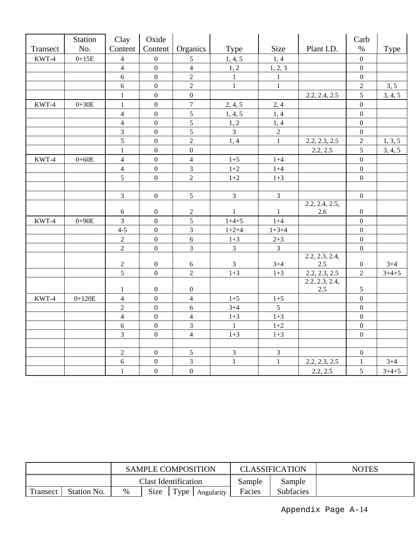|          | Station   | Clay                               | Oxide            |                  |                |                |                                 | Carb             |             |
|----------|-----------|------------------------------------|------------------|------------------|----------------|----------------|---------------------------------|------------------|-------------|
| Transect | No.       | Content                            | Content          | Organics         | Type           | Size           | Plant I.D.                      | $\%$             | <b>Type</b> |
| KWT-4    | $0+15E$   | $\overline{4}$                     | $\boldsymbol{0}$ | 5                | 1, 4, 5        | 1, 4           |                                 | $\mathbf{0}$     |             |
|          |           | $\overline{4}$                     | $\boldsymbol{0}$ | $\overline{4}$   | 1, 2           | 1, 2, 3        |                                 | $\boldsymbol{0}$ |             |
|          |           | 6                                  | $\boldsymbol{0}$ | $\overline{2}$   | $\mathbf{1}$   | $\mathbf{1}$   |                                 | $\boldsymbol{0}$ |             |
|          |           | $\boldsymbol{6}$                   | $\boldsymbol{0}$ | $\overline{c}$   | $\mathbf{1}$   | $\mathbf{1}$   |                                 | $\sqrt{2}$       | 3, 5        |
|          |           | $\mathbf 1$                        | $\boldsymbol{0}$ | $\boldsymbol{0}$ |                |                | 2.2, 2.4, 2.5                   | $\mathfrak s$    | 3, 4, 5     |
| KWT-4    | $0+30E$   | $\mathbf{1}$                       | $\boldsymbol{0}$ | $\boldsymbol{7}$ | 2, 4, 5        | 2,4            |                                 | $\mathbf{0}$     |             |
|          |           | $\overline{4}$                     | $\boldsymbol{0}$ | $\sqrt{5}$       | 1, 4, 5        | 1, 4           |                                 | $\boldsymbol{0}$ |             |
|          |           | $\overline{4}$                     | $\mathbf{0}$     | $\sqrt{5}$       | 1, 2           | 1, 4           |                                 | $\boldsymbol{0}$ |             |
|          |           | 3                                  | $\overline{0}$   | $\overline{5}$   | $\overline{3}$ | $\sqrt{2}$     |                                 | $\boldsymbol{0}$ |             |
|          |           | 5                                  | $\boldsymbol{0}$ | $\overline{2}$   | 1, 4           | $\mathbf{1}$   | 2.2, 2.3, 2.5                   | $\sqrt{2}$       | 1, 3, 5     |
|          |           | $\mathbf{1}$                       | $\boldsymbol{0}$ | $\boldsymbol{0}$ |                |                | 2.2, 2.5                        | 5                | 3, 4, 5     |
| KWT-4    | $0 + 60E$ | $\overline{4}$                     | $\overline{0}$   | $\overline{4}$   | $1 + 5$        | $1 + 4$        |                                 | $\mathbf{0}$     |             |
|          |           | $\overline{4}$                     | $\boldsymbol{0}$ | $\overline{3}$   | $1 + 2$        | $1+4$          |                                 | $\boldsymbol{0}$ |             |
|          |           | 5                                  | $\boldsymbol{0}$ | $\overline{c}$   | $1 + 2$        | $1 + 3$        |                                 | $\mathbf{0}$     |             |
|          |           |                                    |                  |                  |                |                |                                 |                  |             |
|          |           | $\overline{3}$                     | $\boldsymbol{0}$ | 5                | $\overline{3}$ | $\overline{3}$ |                                 | $\boldsymbol{0}$ |             |
|          |           |                                    |                  |                  |                |                | 2.2, 2.4, 2.5,                  |                  |             |
|          |           | 6                                  | $\boldsymbol{0}$ | $\sqrt{2}$       | $\mathbf{1}$   | $\mathbf{1}$   | 2.6                             | $\boldsymbol{0}$ |             |
| KWT-4    | $0 + 90E$ | $\overline{3}$                     | $\overline{0}$   | 5                | $1+4+5$        | $1 + 4$        |                                 | $\mathbf{0}$     |             |
|          |           | $4 - 5$                            | $\boldsymbol{0}$ | $\overline{3}$   | $1+2+4$        | $1 + 3 + 4$    |                                 | $\boldsymbol{0}$ |             |
|          |           | $\overline{2}$                     | $\boldsymbol{0}$ | $\sqrt{6}$       | $1 + 3$        | $2 + 3$        |                                 | $\boldsymbol{0}$ |             |
|          |           | $\overline{2}$                     | $\overline{0}$   | 3                | $\overline{3}$ | $\overline{3}$ |                                 | $\overline{0}$   |             |
|          |           |                                    |                  |                  |                |                | $2.2, 2.\overline{3, 2.4}$      |                  |             |
|          |           | $\boldsymbol{2}$<br>$\overline{5}$ | $\boldsymbol{0}$ | $\sqrt{6}$       | 3              | $3 + 4$        | 2.5                             | $\boldsymbol{0}$ | $3 + 4$     |
|          |           |                                    | $\boldsymbol{0}$ | $\overline{c}$   | $1 + 3$        | $1 + 3$        | 2.2, 2.3, 2.5<br>2.2, 2.3, 2.4, | $\overline{2}$   | $3+4+5$     |
|          |           | $\mathbf{1}$                       | $\boldsymbol{0}$ | $\boldsymbol{0}$ |                |                | 2.5                             | $\mathfrak{S}$   |             |
| KWT-4    | $0+120E$  | $\overline{4}$                     | $\boldsymbol{0}$ | $\overline{4}$   | $1 + 5$        | $1 + 5$        |                                 | $\mathbf{0}$     |             |
|          |           | $\overline{2}$                     | $\overline{0}$   | 6                | $3 + 4$        | $\overline{5}$ |                                 | $\overline{0}$   |             |
|          |           | $\overline{4}$                     | $\overline{0}$   | $\overline{4}$   | $1 + 3$        | $1 + 3$        |                                 | $\boldsymbol{0}$ |             |
|          |           | 6                                  | $\overline{0}$   | $\overline{3}$   | $\mathbf{1}$   | $1 + 2$        |                                 | $\boldsymbol{0}$ |             |
|          |           | $\overline{3}$                     | $\boldsymbol{0}$ | $\overline{4}$   | $1 + 3$        | $1 + 3$        |                                 | $\boldsymbol{0}$ |             |
|          |           |                                    |                  |                  |                |                |                                 |                  |             |
|          |           | $\overline{2}$                     | $\boldsymbol{0}$ | $\sqrt{5}$       | $\mathfrak{Z}$ | $\overline{3}$ |                                 | $\boldsymbol{0}$ |             |
|          |           | 6                                  | $\boldsymbol{0}$ | 3                | $\mathbf{1}$   | $\mathbf{1}$   | 2.2, 2.3, 2.5                   | $\mathbf{1}$     | $3 + 4$     |
|          |           | $\mathbf{1}$                       | $\boldsymbol{0}$ | $\boldsymbol{0}$ |                |                | 2.2, 2.5                        | 5                | $3 + 4 + 5$ |

|                                |  |                             | <b>SAMPLE COMPOSITION</b> |  |            |        | <b>CLASSIFICATION</b> | <b>NOTES</b> |
|--------------------------------|--|-----------------------------|---------------------------|--|------------|--------|-----------------------|--------------|
|                                |  | <b>Clast Identification</b> |                           |  | Sample     | Sample |                       |              |
| <b>Transect</b><br>Station No. |  | %                           | Size<br>Type              |  | Angularity | Facies | <b>Subfacies</b>      |              |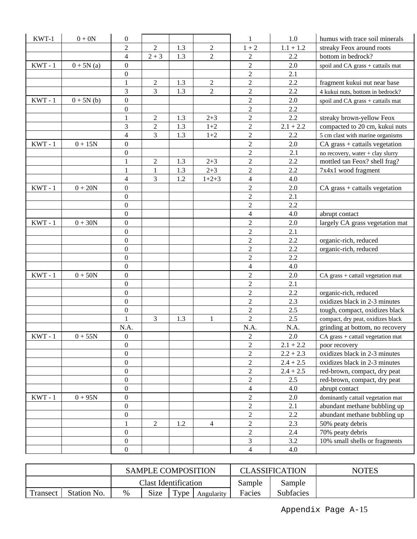| $KWT-1$   | $0 + 0N$    | $\boldsymbol{0}$ |                |     |                | 1                | 1.0         | humus with trace soil minerals    |
|-----------|-------------|------------------|----------------|-----|----------------|------------------|-------------|-----------------------------------|
|           |             | $\overline{2}$   | $\overline{2}$ | 1.3 | $\mathbf{2}$   | $1 + 2$          | $1.1 + 1.2$ | streaky Feox around roots         |
|           |             | 4                | $2 + 3$        | 1.3 | $\overline{2}$ | $\overline{2}$   | 2.2         | bottom in bedrock?                |
| $KWT - 1$ | $0 + 5N(a)$ | $\boldsymbol{0}$ |                |     |                | $\overline{2}$   | 2.0         | spoil and CA grass + cattails mat |
|           |             | $\boldsymbol{0}$ |                |     |                | $\overline{c}$   | 2.1         |                                   |
|           |             | 1                | $\sqrt{2}$     | 1.3 | $\overline{c}$ | $\sqrt{2}$       | 2.2         | fragment kukui nut near base      |
|           |             | 3                | $\overline{3}$ | 1.3 | $\sqrt{2}$     | $\sqrt{2}$       | 2.2         | 4 kukui nuts, bottom in bedrock?  |
| $KWT - 1$ | $0 + 5N(b)$ | $\boldsymbol{0}$ |                |     |                | $\overline{2}$   | $2.0\,$     | spoil and CA grass + cattails mat |
|           |             | $\boldsymbol{0}$ |                |     |                | $\sqrt{2}$       | 2.2         |                                   |
|           |             | 1                | $\overline{2}$ | 1.3 | $2 + 3$        | $\overline{2}$   | 2.2         | streaky brown-yellow Feox         |
|           |             | 3                | $\overline{2}$ | 1.3 | $1 + 2$        | $\boldsymbol{2}$ | $2.1 + 2.2$ | compacted to 20 cm, kukui nuts    |
|           |             | 4                | 3              | 1.3 | $1+2$          | $\overline{c}$   | 2.2         | 5 cm clast with marine organisms  |
| $KWT - 1$ | $0 + 15N$   | $\boldsymbol{0}$ |                |     |                | $\sqrt{2}$       | 2.0         | CA grass + cattails vegetation    |
|           |             | $\boldsymbol{0}$ |                |     |                | $\sqrt{2}$       | 2.1         | no recovery, water + clay slurry  |
|           |             | 1                | $\overline{2}$ | 1.3 | $2 + 3$        | $\mathfrak{2}$   | 2.2         | mottled tan Feox? shell frag?     |
|           |             | 1                | 1              | 1.3 | $2 + 3$        | $\overline{2}$   | 2.2         | 7x4x1 wood fragment               |
|           |             | 4                | 3              | 1.2 | $1+2+3$        | $\overline{4}$   | 4.0         |                                   |
| $KWT - 1$ | $0 + 20N$   | $\boldsymbol{0}$ |                |     |                | $\mathfrak{2}$   | 2.0         | $CA$ grass + cattails vegetation  |
|           |             | $\boldsymbol{0}$ |                |     |                | $\overline{2}$   | 2.1         |                                   |
|           |             | $\boldsymbol{0}$ |                |     |                | $\sqrt{2}$       | 2.2         |                                   |
|           |             | $\boldsymbol{0}$ |                |     |                | $\overline{4}$   | 4.0         | abrupt contact                    |
| $KWT - 1$ | $0 + 30N$   | $\boldsymbol{0}$ |                |     |                | $\sqrt{2}$       | 2.0         | largely CA grass vegetation mat   |
|           |             | $\boldsymbol{0}$ |                |     |                | $\sqrt{2}$       | 2.1         |                                   |
|           |             | $\boldsymbol{0}$ |                |     |                | $\sqrt{2}$       | 2.2         | organic-rich, reduced             |
|           |             | $\mathbf{0}$     |                |     |                | $\overline{2}$   | 2.2         | organic-rich, reduced             |
|           |             | $\boldsymbol{0}$ |                |     |                | $\overline{c}$   | 2.2         |                                   |
|           |             | $\boldsymbol{0}$ |                |     |                | $\overline{4}$   | 4.0         |                                   |
| $KWT - 1$ | $0+50N$     | $\boldsymbol{0}$ |                |     |                | $\mathbf{2}$     | 2.0         | CA grass + cattail vegetation mat |
|           |             | $\boldsymbol{0}$ |                |     |                | $\mathfrak{2}$   | 2.1         |                                   |
|           |             | $\boldsymbol{0}$ |                |     |                | $\overline{2}$   | 2.2         | organic-rich, reduced             |
|           |             | $\boldsymbol{0}$ |                |     |                | $\overline{2}$   | 2.3         | oxidizes black in 2-3 minutes     |
|           |             | $\boldsymbol{0}$ |                |     |                | $\sqrt{2}$       | 2.5         | tough, compact, oxidizes black    |
|           |             |                  | 3              | 1.3 | 1              | $\overline{2}$   | 2.5         | compact, dry peat, oxidizes black |
|           |             | N.A.             |                |     |                | N.A.             | N.A.        | grinding at bottom, no recovery   |
| $KWT - 1$ | $0 + 55N$   | $\boldsymbol{0}$ |                |     |                | $\mathbf{2}$     | 2.0         | CA grass + cattail vegetation mat |
|           |             | $\boldsymbol{0}$ |                |     |                | $\boldsymbol{2}$ | $2.1 + 2.2$ | poor recovery                     |
|           |             | $\boldsymbol{0}$ |                |     |                | $\overline{c}$   | $2.2 + 2.3$ | oxidizes black in 2-3 minutes     |
|           |             | $\boldsymbol{0}$ |                |     |                | $\sqrt{2}$       | $2.4 + 2.5$ | oxidizes black in 2-3 minutes     |
|           |             | $\boldsymbol{0}$ |                |     |                | $\overline{2}$   | $2.4 + 2.5$ | red-brown, compact, dry peat      |
|           |             | $\boldsymbol{0}$ |                |     |                | $\sqrt{2}$       | 2.5         | red-brown, compact, dry peat      |
|           |             | $\boldsymbol{0}$ |                |     |                | $\overline{4}$   | 4.0         | abrupt contact                    |
| $KWT - 1$ | $0 + 95N$   | $\boldsymbol{0}$ |                |     |                | $\sqrt{2}$       | 2.0         | dominantly cattail vegetation mat |
|           |             | $\boldsymbol{0}$ |                |     |                | $\sqrt{2}$       | 2.1         | abundant methane bubbling up      |
|           |             | $\boldsymbol{0}$ |                |     |                | $\overline{c}$   | 2.2         | abundant methane bubbling up      |
|           |             | 1                | $\overline{2}$ | 1.2 | 4              | $\sqrt{2}$       | 2.3         | 50% peaty debris                  |
|           |             | $\boldsymbol{0}$ |                |     |                | $\sqrt{2}$       | 2.4         | 70% peaty debris                  |
|           |             | $\boldsymbol{0}$ |                |     |                | 3                | 3.2         | 10% small shells or fragments     |
|           |             | $\boldsymbol{0}$ |                |     |                | $\overline{4}$   | 4.0         |                                   |

|                          |  |                             | <b>SAMPLE COMPOSITION</b> |                     |            |        | <b>CLASSIFICATION</b> | <b>NOTES</b> |
|--------------------------|--|-----------------------------|---------------------------|---------------------|------------|--------|-----------------------|--------------|
|                          |  | <b>Clast Identification</b> |                           |                     |            | Sample | Sample                |              |
| Station No.<br>Transect, |  | %                           | <b>Size</b>               | $\tau_{\text{ype}}$ | Angularity | Facies | <b>Subfacies</b>      |              |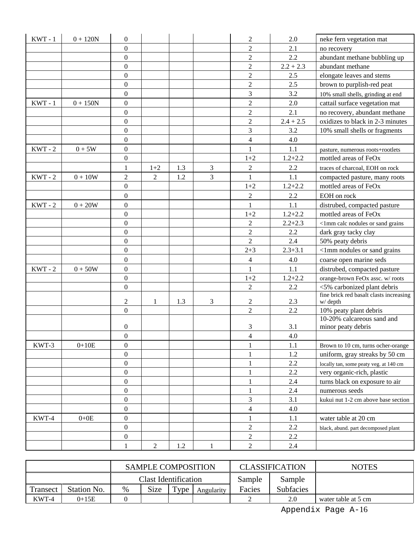| $KWT - 1$ | $0 + 120N$ | $\boldsymbol{0}$ |                |     |              | $\overline{c}$           | 2.0         | neke fern vegetation mat                         |
|-----------|------------|------------------|----------------|-----|--------------|--------------------------|-------------|--------------------------------------------------|
|           |            | $\boldsymbol{0}$ |                |     |              | $\overline{2}$           | 2.1         | no recovery                                      |
|           |            | $\overline{0}$   |                |     |              | $\overline{2}$           | 2.2         | abundant methane bubbling up                     |
|           |            | $\boldsymbol{0}$ |                |     |              | $\overline{c}$           | $2.2 + 2.3$ | abundant methane                                 |
|           |            | $\boldsymbol{0}$ |                |     |              | $\overline{2}$           | 2.5         | elongate leaves and stems                        |
|           |            | $\boldsymbol{0}$ |                |     |              | $\overline{2}$           | 2.5         | brown to purplish-red peat                       |
|           |            | $\boldsymbol{0}$ |                |     |              | 3                        | 3.2         | 10% small shells, grinding at end                |
| $KWT - 1$ | $0 + 150N$ | $\boldsymbol{0}$ |                |     |              | $\overline{2}$           | 2.0         | cattail surface vegetation mat                   |
|           |            | $\boldsymbol{0}$ |                |     |              | $\overline{c}$           | 2.1         | no recovery, abundant methane                    |
|           |            | $\boldsymbol{0}$ |                |     |              | $\overline{c}$           | $2.4 + 2.5$ | oxidizes to black in 2-3 minutes                 |
|           |            | $\boldsymbol{0}$ |                |     |              | 3                        | 3.2         | 10% small shells or fragments                    |
|           |            | $\boldsymbol{0}$ |                |     |              | $\overline{\mathbf{4}}$  | 4.0         |                                                  |
| $KWT - 2$ | $0+5W$     | $\boldsymbol{0}$ |                |     |              | $\mathbf{1}$             | 1.1         | pasture, numerous roots+rootlets                 |
|           |            | $\boldsymbol{0}$ |                |     |              | $1 + 2$                  | $1.2 + 2.2$ | mottled areas of FeOx                            |
|           |            | $\mathbf{1}$     | $1+2$          | 1.3 | 3            | $\overline{2}$           | 2.2         | traces of charcoal, EOH on rock                  |
| $KWT - 2$ | $0 + 10W$  | $\overline{2}$   | $\overline{2}$ | 1.2 | 3            | $\mathbf{1}$             | 1.1         | compacted pasture, many roots                    |
|           |            | $\boldsymbol{0}$ |                |     |              | $1 + 2$                  | $1.2 + 2.2$ | mottled areas of FeOx                            |
|           |            | $\boldsymbol{0}$ |                |     |              | $\overline{c}$           | 2.2         | EOH on rock                                      |
| $KWT - 2$ | $0 + 20W$  | $\boldsymbol{0}$ |                |     |              | $\mathbf{1}$             | 1.1         | distrubed, compacted pasture                     |
|           |            | $\boldsymbol{0}$ |                |     |              | $1 + 2$                  | $1.2 + 2.2$ | mottled areas of FeOx                            |
|           |            | 0                |                |     |              | $\overline{c}$           | $2.2 + 2.3$ | <1mm calc nodules or sand grains                 |
|           |            | $\boldsymbol{0}$ |                |     |              | $\overline{c}$           | 2.2         | dark gray tacky clay                             |
|           |            | $\overline{0}$   |                |     |              | $\overline{2}$           | 2.4         | 50% peaty debris                                 |
|           |            | $\boldsymbol{0}$ |                |     |              | $2 + 3$                  | $2.3 + 3.1$ | <1mm nodules or sand grains                      |
|           |            | $\boldsymbol{0}$ |                |     |              | $\overline{\mathcal{L}}$ | 4.0         | coarse open marine seds                          |
| $KWT - 2$ | $0+50W$    | $\boldsymbol{0}$ |                |     |              | $\mathbf{1}$             | 1.1         | distrubed, compacted pasture                     |
|           |            | $\boldsymbol{0}$ |                |     |              | $1+2$                    | $1.2 + 2.2$ | orange-brown FeOx assc. w/roots                  |
|           |            | $\boldsymbol{0}$ |                |     |              | $\overline{2}$           | 2.2         | <5% carbonized plant debris                      |
|           |            |                  |                |     |              |                          |             | fine brick red basalt clasts increasing          |
|           |            | 2                | 1              | 1.3 | 3            | 2                        | 2.3         | w/depth                                          |
|           |            | $\overline{0}$   |                |     |              | $\overline{2}$           | 2.2         | 10% peaty plant debris                           |
|           |            | 0                |                |     |              | 3                        | 3.1         | 10-20% calcareous sand and<br>minor peaty debris |
|           |            | $\theta$         |                |     |              | $\overline{4}$           | 4.0         |                                                  |
| KWT-3     | $0+10E$    | $\boldsymbol{0}$ |                |     |              | $\mathbf{1}$             | 1.1         | Brown to 10 cm, turns ocher-orange               |
|           |            | $\boldsymbol{0}$ |                |     |              | $\mathbf{1}$             | 1.2         | uniform, gray streaks by 50 cm                   |
|           |            | $\overline{0}$   |                |     |              | $\mathbf{1}$             | 2.2         | locally tan, some peaty veg. at 140 cm           |
|           |            | $\overline{0}$   |                |     |              | $\mathbf{1}$             | 2.2         | very organic-rich, plastic                       |
|           |            | $\boldsymbol{0}$ |                |     |              | 1                        | 2.4         | turns black on exposure to air                   |
|           |            | $\boldsymbol{0}$ |                |     |              | 1                        | 2.4         | numerous seeds                                   |
|           |            | $\boldsymbol{0}$ |                |     |              | 3                        | 3.1         | kukui nut 1-2 cm above base section              |
|           |            | $\boldsymbol{0}$ |                |     |              | $\overline{\mathbf{4}}$  | 4.0         |                                                  |
| KWT-4     | $0+0E$     | $\boldsymbol{0}$ |                |     |              | $\mathbf{1}$             | 1.1         | water table at 20 cm                             |
|           |            | 0                |                |     |              | $\mathbf{2}$             | 2.2         | black, abund. part decomposed plant              |
|           |            | $\boldsymbol{0}$ |                |     |              | $\overline{c}$           | 2.2         |                                                  |
|           |            | $\mathbf{1}$     | $\overline{2}$ | 1.2 | $\mathbf{1}$ | $\overline{c}$           | 2.4         |                                                  |
|           |            |                  |                |     |              |                          |             |                                                  |

|                         |         |                             | <b>SAMPLE COMPOSITION</b> |                |            |        | <b>CLASSIFICATION</b> | <b>NOTES</b>        |
|-------------------------|---------|-----------------------------|---------------------------|----------------|------------|--------|-----------------------|---------------------|
|                         |         | <b>Clast Identification</b> |                           |                | Sample     | Sample |                       |                     |
| Station No.<br>Transect |         | %                           | <b>Size</b>               | T <sub>Y</sub> | Angularity | Facies | <b>Subfacies</b>      |                     |
| KWT-4                   | $0+15E$ |                             |                           |                |            |        | 2.0                   | water table at 5 cm |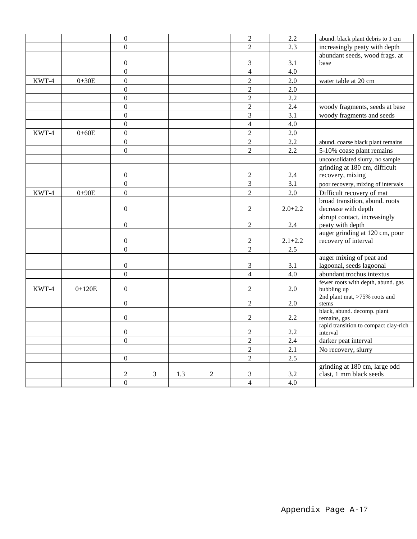|       |           | $\boldsymbol{0}$ |   |     |              | $\overline{c}$   | 2.2              | abund. black plant debris to 1 cm      |
|-------|-----------|------------------|---|-----|--------------|------------------|------------------|----------------------------------------|
|       |           | $\theta$         |   |     |              | $\overline{2}$   | 2.3              | increasingly peaty with depth          |
|       |           |                  |   |     |              |                  |                  | abundant seeds, wood frags. at         |
|       |           | $\boldsymbol{0}$ |   |     |              | 3                | 3.1              | base                                   |
|       |           | $\overline{0}$   |   |     |              | $\overline{4}$   | 4.0              |                                        |
| KWT-4 | $0 + 30E$ | $\Omega$         |   |     |              | $\overline{2}$   | 2.0              | water table at 20 cm                   |
|       |           | $\mathbf{0}$     |   |     |              | $\overline{2}$   | 2.0              |                                        |
|       |           | $\mathbf{0}$     |   |     |              | $\overline{2}$   | 2.2              |                                        |
|       |           | $\boldsymbol{0}$ |   |     |              | $\overline{c}$   | 2.4              | woody fragments, seeds at base         |
|       |           | $\mathbf{0}$     |   |     |              | 3                | 3.1              | woody fragments and seeds              |
|       |           | $\boldsymbol{0}$ |   |     |              | $\overline{4}$   | 4.0              |                                        |
| KWT-4 | $0 + 60E$ | $\boldsymbol{0}$ |   |     |              | $\overline{2}$   | 2.0              |                                        |
|       |           | $\overline{0}$   |   |     |              | $\overline{2}$   | 2.2              | abund. coarse black plant remains      |
|       |           | $\mathbf{0}$     |   |     |              | $\overline{2}$   | 2.2              | 5-10% coase plant remains              |
|       |           |                  |   |     |              |                  |                  | unconsolidated slurry, no sample       |
|       |           |                  |   |     |              |                  |                  | grinding at 180 cm, difficult          |
|       |           | $\boldsymbol{0}$ |   |     |              | $\overline{c}$   | 2.4              | recovery, mixing                       |
|       |           | $\overline{0}$   |   |     |              | $\overline{3}$   | $\overline{3.1}$ | poor recovery, mixing of intervals     |
| KWT-4 | $0 + 90E$ | $\mathbf{0}$     |   |     |              | $\overline{2}$   | 2.0              | Difficult recovery of mat              |
|       |           |                  |   |     |              |                  |                  | broad transition, abund. roots         |
|       |           | $\boldsymbol{0}$ |   |     |              | $\overline{2}$   | $2.0 + 2.2$      | decrease with depth                    |
|       |           |                  |   |     |              |                  |                  | abrupt contact, increasingly           |
|       |           | $\boldsymbol{0}$ |   |     |              | $\overline{2}$   | $2.4\,$          | peaty with depth                       |
|       |           |                  |   |     |              |                  |                  | auger grinding at 120 cm, poor         |
|       |           | $\boldsymbol{0}$ |   |     |              | $\overline{2}$   | $2.1 + 2.2$      | recovery of interval                   |
|       |           | $\mathbf{0}$     |   |     |              | $\overline{2}$   | 2.5              |                                        |
|       |           |                  |   |     |              |                  |                  | auger mixing of peat and               |
|       |           | $\boldsymbol{0}$ |   |     |              | 3                | 3.1              | lagoonal, seeds lagoonal               |
|       |           | $\mathbf{0}$     |   |     |              | $\overline{4}$   | 4.0              | abundant trochus intextus              |
|       |           |                  |   |     |              |                  |                  | fewer roots with depth, abund. gas     |
| KWT-4 | $0+120E$  | $\boldsymbol{0}$ |   |     |              | $\boldsymbol{2}$ | 2.0              | bubbling up                            |
|       |           | $\mathbf{0}$     |   |     |              | $\boldsymbol{2}$ | 2.0              | 2nd plant mat, >75% roots and<br>stems |
|       |           |                  |   |     |              |                  |                  | black, abund. decomp. plant            |
|       |           | $\boldsymbol{0}$ |   |     |              | $\boldsymbol{2}$ | 2.2              | remains, gas                           |
|       |           |                  |   |     |              |                  |                  | rapid transition to compact clay-rich  |
|       |           | $\boldsymbol{0}$ |   |     |              | $\overline{2}$   | 2.2              | interval                               |
|       |           | $\mathbf{0}$     |   |     |              | $\overline{c}$   | 2.4              | darker peat interval                   |
|       |           |                  |   |     |              | $\overline{2}$   | 2.1              | No recovery, slurry                    |
|       |           | $\Omega$         |   |     |              | $\overline{2}$   | 2.5              |                                        |
|       |           |                  |   |     |              |                  |                  | grinding at 180 cm, large odd          |
|       |           | $\boldsymbol{2}$ | 3 | 1.3 | $\mathbf{2}$ | 3                | 3.2              | clast, 1 mm black seeds                |
|       |           | $\overline{0}$   |   |     |              | $\overline{4}$   | 4.0              |                                        |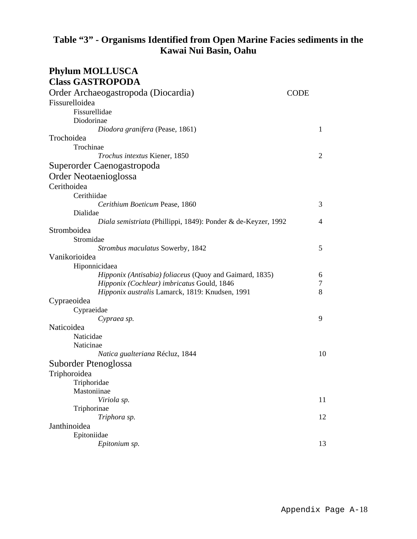### **Table "3" - Organisms Identified from Open Marine Facies sediments in the Kawai Nui Basin, Oahu**

| <b>Phylum MOLLUSCA</b>                                        |             |    |
|---------------------------------------------------------------|-------------|----|
| <b>Class GASTROPODA</b>                                       |             |    |
| Order Archaeogastropoda (Diocardia)                           | <b>CODE</b> |    |
| Fissurelloidea                                                |             |    |
| Fissurellidae                                                 |             |    |
| Diodorinae                                                    |             |    |
| Diodora granifera (Pease, 1861)                               |             | 1  |
| Trochoidea                                                    |             |    |
| Trochinae                                                     |             |    |
| Trochus intextus Kiener, 1850                                 |             | 2  |
| Superorder Caenogastropoda                                    |             |    |
| Order Neotaenioglossa                                         |             |    |
| Cerithoidea                                                   |             |    |
| Cerithiidae                                                   |             |    |
| Cerithium Boeticum Pease, 1860                                |             | 3  |
| Dialidae                                                      |             |    |
| Diala semistriata (Phillippi, 1849): Ponder & de-Keyzer, 1992 |             | 4  |
| Stromboidea                                                   |             |    |
| Stromidae                                                     |             |    |
| Strombus maculatus Sowerby, 1842                              |             | 5  |
| Vanikorioidea                                                 |             |    |
| Hiponnicidaea                                                 |             |    |
| Hipponix (Antisabia) foliaceus (Quoy and Gaimard, 1835)       |             | 6  |
| Hipponix (Cochlear) imbricatus Gould, 1846                    |             | 7  |
| Hipponix australis Lamarck, 1819: Knudsen, 1991               |             | 8  |
| Cypraeoidea                                                   |             |    |
| Cypraeidae                                                    |             |    |
| Cypraea sp.<br>Naticoidea                                     |             | 9  |
| Naticidae                                                     |             |    |
| Naticinae                                                     |             |    |
| Natica gualteriana Récluz, 1844                               |             | 10 |
| Suborder Ptenoglossa                                          |             |    |
| Triphoroidea                                                  |             |    |
| Triphoridae                                                   |             |    |
| Mastoniinae                                                   |             |    |
| Viriola sp.                                                   |             | 11 |
| Triphorinae                                                   |             |    |
| Triphora sp.                                                  |             | 12 |
| Janthinoidea                                                  |             |    |
| Epitoniidae                                                   |             |    |
| Epitonium sp.                                                 |             | 13 |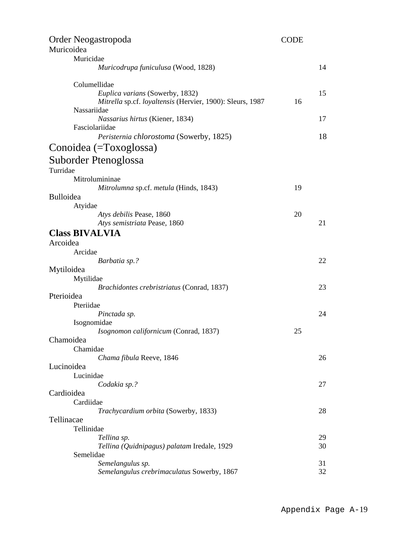| Order Neogastropoda                                       | <b>CODE</b> |    |
|-----------------------------------------------------------|-------------|----|
| Muricoidea                                                |             |    |
| Muricidae                                                 |             |    |
| Muricodrupa funiculusa (Wood, 1828)                       |             | 14 |
| Columellidae                                              |             |    |
| Euplica varians (Sowerby, 1832)                           |             | 15 |
| Mitrella sp.cf. loyaltensis (Hervier, 1900): Sleurs, 1987 | 16          |    |
| Nassariidae                                               |             |    |
| Nassarius hirtus (Kiener, 1834)                           |             | 17 |
| Fasciolariidae                                            |             |    |
| Peristernia chlorostoma (Sowerby, 1825)                   |             | 18 |
| Conoidea (=Toxoglossa)                                    |             |    |
| Suborder Ptenoglossa                                      |             |    |
| Turridae                                                  |             |    |
| Mitrolumininae                                            |             |    |
| Mitrolumna sp.cf. metula (Hinds, 1843)                    | 19          |    |
| <b>Bulloidea</b>                                          |             |    |
| Atyidae                                                   |             |    |
| Atys debilis Pease, 1860                                  | 20          |    |
| Atys semistriata Pease, 1860                              |             | 21 |
| <b>Class BIVALVIA</b>                                     |             |    |
| Arcoidea                                                  |             |    |
| Arcidae                                                   |             |    |
| Barbatia sp.?                                             |             | 22 |
| Mytiloidea                                                |             |    |
| Mytilidae                                                 |             |    |
| Brachidontes crebristriatus (Conrad, 1837)                |             | 23 |
| Pterioidea                                                |             |    |
| Pteriidae                                                 |             |    |
| Pinctada sp.                                              |             | 24 |
| Isognomidae                                               |             |    |
| Isognomon californicum (Conrad, 1837)                     | 25          |    |
| Chamoidea                                                 |             |    |
| Chamidae                                                  |             |    |
| Chama fibula Reeve, 1846                                  |             | 26 |
| Lucinoidea<br>Lucinidae                                   |             |    |
| Codakia sp.?                                              |             | 27 |
| Cardioidea                                                |             |    |
| Cardiidae                                                 |             |    |
| Trachycardium orbita (Sowerby, 1833)                      |             | 28 |
| Tellinacae                                                |             |    |
| Tellinidae                                                |             |    |
| Tellina sp.                                               |             | 29 |
| Tellina (Quidnipagus) palatam Iredale, 1929               |             | 30 |
| Semelidae                                                 |             |    |
| Semelangulus sp.                                          |             | 31 |
| Semelangulus crebrimaculatus Sowerby, 1867                |             | 32 |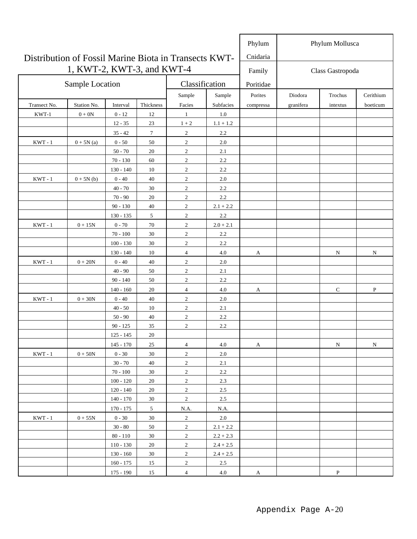|                                                       |                            |             |                |                  |             | Phylum    |                  | Phylum Mollusca |              |
|-------------------------------------------------------|----------------------------|-------------|----------------|------------------|-------------|-----------|------------------|-----------------|--------------|
| Distribution of Fossil Marine Biota in Transects KWT- |                            |             |                |                  |             | Cnidaria  |                  |                 |              |
|                                                       | 1, KWT-2, KWT-3, and KWT-4 |             |                |                  |             | Family    | Class Gastropoda |                 |              |
|                                                       | Sample Location            |             |                | Classification   |             | Poritidae |                  |                 |              |
|                                                       |                            |             |                | Sample           | Sample      | Porites   | Diodora          | Trochus         | Cerithium    |
| Transect No.                                          | Station No.                | Interval    | Thickness      | Facies           | Subfacies   | compressa | granifera        | intextus        | boeticum     |
| KWT-1                                                 | $0 + 0N$                   | $0 - 12$    | 12             | $\mathbf{1}$     | $1.0\,$     |           |                  |                 |              |
|                                                       |                            | $12 - 35$   | 23             | $1 + 2$          | $1.1 + 1.2$ |           |                  |                 |              |
|                                                       |                            | $35 - 42$   | 7              | $\boldsymbol{2}$ | 2.2         |           |                  |                 |              |
| $KWT - 1$                                             | $0 + 5N(a)$                | $0 - 50$    | 50             | $\mathbf{2}$     | 2.0         |           |                  |                 |              |
|                                                       |                            | $50 - 70$   | 20             | $\mathfrak{2}$   | 2.1         |           |                  |                 |              |
|                                                       |                            | $70 - 130$  | 60             | $\mathfrak{2}$   | 2.2         |           |                  |                 |              |
|                                                       |                            | $130 - 140$ | 10             | $\mathfrak{2}$   | 2.2         |           |                  |                 |              |
| $KWT - 1$                                             | $0 + 5N(b)$                | $0 - 40$    | 40             | $\mathbf{2}$     | 2.0         |           |                  |                 |              |
|                                                       |                            | $40 - 70$   | 30             | $\mathbf{2}$     | 2.2         |           |                  |                 |              |
|                                                       |                            | $70 - 90$   | 20             | $\mathfrak{2}$   | 2.2         |           |                  |                 |              |
|                                                       |                            | $90 - 130$  | 40             | $\mathfrak{2}$   | $2.1 + 2.2$ |           |                  |                 |              |
|                                                       |                            | $130 - 135$ | 5              | $\mathfrak{2}$   | 2.2         |           |                  |                 |              |
| $KWT - 1$                                             | $0 + 15N$                  | $0 - 70$    | 70             | $\mathfrak{2}$   | $2.0 + 2.1$ |           |                  |                 |              |
|                                                       |                            | $70 - 100$  | 30             | $\mathfrak{2}$   | 2.2         |           |                  |                 |              |
|                                                       |                            | $100 - 130$ | 30             | $\overline{c}$   | 2.2         |           |                  |                 |              |
|                                                       |                            | $130 - 140$ | 10             | $\overline{4}$   | 4.0         | A         |                  | N               | N            |
| $KWT - 1$                                             | $0 + 20N$                  | $0 - 40$    | 40             | $\boldsymbol{2}$ | 2.0         |           |                  |                 |              |
|                                                       |                            | $40 - 90$   | 50             | $\sqrt{2}$       | 2.1         |           |                  |                 |              |
|                                                       |                            | $90 - 140$  | 50             | $\mathfrak{2}$   | 2.2         |           |                  |                 |              |
|                                                       |                            | $140 - 160$ | 20             | $\overline{4}$   | 4.0         | A         |                  | $\mathsf{C}$    | $\, {\bf P}$ |
| $KWT - 1$                                             | $0 + 30N$                  | $0 - 40$    | 40             | $\sqrt{2}$       | 2.0         |           |                  |                 |              |
|                                                       |                            | $40 - 50$   | 10             | $\overline{c}$   | 2.1         |           |                  |                 |              |
|                                                       |                            | $50 - 90$   | 40             | $\overline{c}$   | 2.2         |           |                  |                 |              |
|                                                       |                            | $90 - 125$  | 35             | $\mathfrak{2}$   | $2.2\,$     |           |                  |                 |              |
|                                                       |                            | $125 - 145$ | 20             |                  |             |           |                  |                 |              |
|                                                       |                            | $145 - 170$ | 25             | $\overline{4}$   | 4.0         | A         |                  | N               | N            |
| $KWT - 1$                                             | $0+50N$                    | $0 - 30$    | 30             | $\overline{c}$   | 2.0         |           |                  |                 |              |
|                                                       |                            | $30 - 70$   | 40             | $\sqrt{2}$       | 2.1         |           |                  |                 |              |
|                                                       |                            | $70 - 100$  | 30             | $\sqrt{2}$       | $2.2\,$     |           |                  |                 |              |
|                                                       |                            | $100 - 120$ | 20             | $\overline{c}$   | 2.3         |           |                  |                 |              |
|                                                       |                            | $120 - 140$ | 20             | $\overline{c}$   | 2.5         |           |                  |                 |              |
|                                                       |                            | $140 - 170$ | 30             | $\sqrt{2}$       | $2.5\,$     |           |                  |                 |              |
|                                                       |                            | $170 - 175$ | $\mathfrak{S}$ | N.A.             | N.A.        |           |                  |                 |              |
| $KWT - 1$                                             | $0+55N$                    | $0 - 30$    | 30             | $\overline{2}$   | $2.0\,$     |           |                  |                 |              |
|                                                       |                            | $30 - 80$   | 50             | $\overline{c}$   | $2.1 + 2.2$ |           |                  |                 |              |
|                                                       |                            | $80 - 110$  | 30             | $\overline{c}$   | $2.2 + 2.3$ |           |                  |                 |              |
|                                                       |                            | $110 - 130$ | 20             | $\overline{2}$   | $2.4 + 2.5$ |           |                  |                 |              |
|                                                       |                            | $130 - 160$ | 30             | $\overline{2}$   | $2.4 + 2.5$ |           |                  |                 |              |
|                                                       |                            | $160 - 175$ | 15             | $\overline{c}$   | 2.5         |           |                  |                 |              |
|                                                       |                            | 175 - 190   | 15             | $\overline{4}$   | 4.0         | A         |                  | $\, {\bf P}$    |              |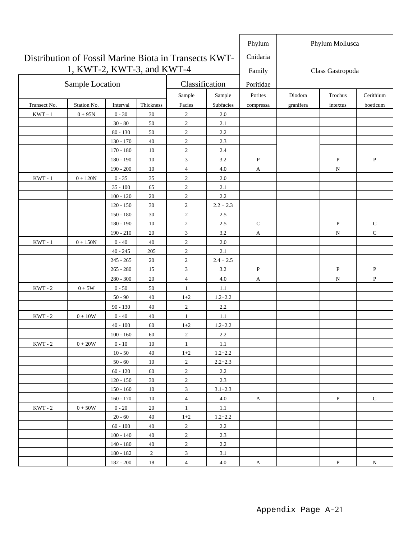|                                                       |                            |                            |                |                              |                    | Phylum       |           | Phylum Mollusca  |              |
|-------------------------------------------------------|----------------------------|----------------------------|----------------|------------------------------|--------------------|--------------|-----------|------------------|--------------|
| Distribution of Fossil Marine Biota in Transects KWT- |                            |                            |                |                              |                    | Cnidaria     |           |                  |              |
|                                                       | 1, KWT-2, KWT-3, and KWT-4 |                            |                |                              |                    | Family       |           | Class Gastropoda |              |
|                                                       | Sample Location            |                            |                | Classification               |                    | Poritidae    |           |                  |              |
|                                                       |                            |                            |                | Sample                       | Sample             | Porites      | Diodora   | Trochus          | Cerithium    |
| Transect No.                                          | Station No.                | Interval                   | Thickness      | Facies                       | Subfacies          | compressa    | granifera | intextus         | boeticum     |
| $KWT-1$                                               | $0 + 95N$                  | $0 - 30$                   | 30             | $\sqrt{2}$                   | $2.0\,$            |              |           |                  |              |
|                                                       |                            | $30 - 80$                  | 50             | $\sqrt{2}$                   | 2.1                |              |           |                  |              |
|                                                       |                            | $80 - 130$                 | 50             | $\overline{2}$               | 2.2                |              |           |                  |              |
|                                                       |                            | $130 - 170$                | 40             | $\overline{c}$               | 2.3                |              |           |                  |              |
|                                                       |                            | $170 - 180$                | 10             | $\overline{2}$               | 2.4                |              |           |                  |              |
|                                                       |                            | 180 - 190                  | 10             | $\mathfrak{Z}$               | 3.2                | $\, {\bf P}$ |           | ${\bf P}$        | $\, {\bf P}$ |
|                                                       |                            | $190 - 200$                | 10             | 4                            | 4.0                | A            |           | N                |              |
| $KWT - 1$                                             | $0 + 120N$                 | $0 - 35$                   | 35             | $\boldsymbol{2}$             | 2.0                |              |           |                  |              |
|                                                       |                            | $35 - 100$                 | 65             | $\mathfrak{2}$               | 2.1                |              |           |                  |              |
|                                                       |                            | $100 - 120$                | 20             | $\mathbf{2}$                 | 2.2                |              |           |                  |              |
|                                                       |                            | $120 - 150$                | 30             | $\mathbf{2}$                 | $2.2 + 2.3$        |              |           |                  |              |
|                                                       |                            | $150 - 180$                | 30             | $\mathbf{2}$                 | 2.5                |              |           |                  |              |
|                                                       |                            | $180 - 190$                | 10             | $\sqrt{2}$                   | 2.5                | $\mathsf{C}$ |           | $\, {\bf P}$     | $\mathbf C$  |
|                                                       |                            | $190 - 210$                | 20             | 3                            | 3.2                | A            |           | ${\bf N}$        | $\mathsf{C}$ |
| $KWT - 1$                                             | $0 + 150N$                 | $0 - 40$                   | 40             | $\overline{2}$               | 2.0                |              |           |                  |              |
|                                                       |                            | $40 - 245$                 | 205            | $\mathbf{2}$                 | 2.1                |              |           |                  |              |
|                                                       |                            | $245 - 265$<br>$265 - 280$ | 20<br>15       | $\sqrt{2}$<br>$\mathfrak{Z}$ | $2.4 + 2.5$<br>3.2 | P            |           | ${\bf P}$        | P            |
|                                                       |                            | $280 - 300$                | 20             | $\overline{4}$               | 4.0                |              |           |                  | P            |
| $KWT - 2$                                             | $0+5W$                     | $0 - 50$                   | 50             | $\mathbf{1}$                 | 1.1                | A            |           | N                |              |
|                                                       |                            | $50 - 90$                  | 40             | $1+2$                        | $1.2 + 2.2$        |              |           |                  |              |
|                                                       |                            | $90 - 130$                 | 40             | $\overline{c}$               | 2.2                |              |           |                  |              |
| $KWT - 2$                                             | $0 + 10W$                  | $0 - 40$                   | 40             | $\mathbf{1}$                 | 1.1                |              |           |                  |              |
|                                                       |                            | $40 - 100$                 | 60             | $1+2$                        | $1.2 + 2.2$        |              |           |                  |              |
|                                                       |                            | $100 - 160$                | 60             | $\overline{2}$               | 2.2                |              |           |                  |              |
| $KWT - 2$                                             | $0+20\mathrm{W}$           | $0$ - $10\,$               | 10             | $\mathbf{1}$                 | 1.1                |              |           |                  |              |
|                                                       |                            | $10 - 50$                  | 40             | $1 + 2$                      | $1.2 + 2.2$        |              |           |                  |              |
|                                                       |                            | $50 - 60$                  | 10             | $\overline{2}$               | $2.2 + 2.3$        |              |           |                  |              |
|                                                       |                            | $60 - 120$                 | 60             | $\overline{2}$               | 2.2                |              |           |                  |              |
|                                                       |                            | $120 - 150$                | 30             | $\sqrt{2}$                   | 2.3                |              |           |                  |              |
|                                                       |                            | $150\,\mbox{-}\,160$       | 10             | $\overline{3}$               | $3.1 + 2.3$        |              |           |                  |              |
|                                                       |                            | $160 - 170$                | 10             | $\overline{4}$               | 4.0                | A            |           | $\mathbf{P}$     | $\mathbf C$  |
| $KWT - 2$                                             | $0+50\mathrm{W}$           | $0 - 20$                   | 20             | $\mathbf{1}$                 | 1.1                |              |           |                  |              |
|                                                       |                            | $20 - 60$                  | 40             | $1+2$                        | $1.2 + 2.2$        |              |           |                  |              |
|                                                       |                            | $60$ - $100\,$             | 40             | $\sqrt{2}$                   | $2.2\,$            |              |           |                  |              |
|                                                       |                            | $100 - 140$                | 40             | $\sqrt{2}$                   | 2.3                |              |           |                  |              |
|                                                       |                            | $140 - 180$                | 40             | $\sqrt{2}$                   | $2.2\,$            |              |           |                  |              |
|                                                       |                            | $180 - 182$                | $\overline{2}$ | $\mathfrak{Z}$               | 3.1                |              |           |                  |              |
|                                                       |                            | $182 - 200$                | 18             | $\overline{4}$               | 4.0                | A            |           | $\, {\bf P}$     | N            |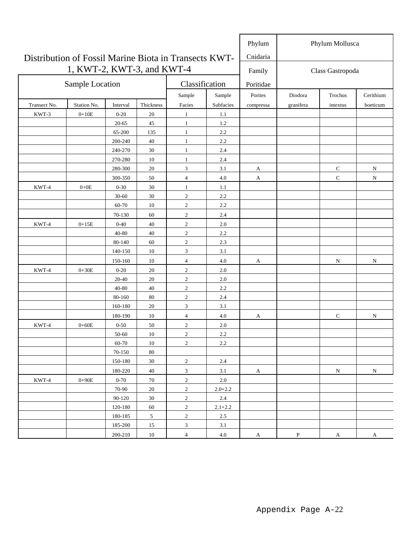| Distribution of Fossil Marine Biota in Transects KWT- |                            |            |                |                |             | Phylum<br>Cnidaria | Phylum Mollusca |                  |              |  |  |
|-------------------------------------------------------|----------------------------|------------|----------------|----------------|-------------|--------------------|-----------------|------------------|--------------|--|--|
|                                                       | 1, KWT-2, KWT-3, and KWT-4 |            |                |                |             | Family             |                 | Class Gastropoda |              |  |  |
|                                                       | Sample Location            |            |                | Classification |             | Poritidae          |                 |                  |              |  |  |
|                                                       |                            |            |                | Sample         | Sample      | Porites            | Diodora         | Trochus          | Cerithium    |  |  |
| Transect No.                                          | Station No.                | Interval   | Thickness      | Facies         | Subfacies   | compressa          | granifera       | intextus         | boeticum     |  |  |
| KWT-3                                                 | $0+10E$                    | $0 - 20$   | 20             | $\mathbf{1}$   | 1.1         |                    |                 |                  |              |  |  |
|                                                       |                            | $20 - 65$  | 45             | $\mathbf{1}$   | 1.2         |                    |                 |                  |              |  |  |
|                                                       |                            | 65-200     | 135            | $\mathbf{1}$   | 2.2         |                    |                 |                  |              |  |  |
|                                                       |                            | 200-240    | 40             | $\mathbf{1}$   | 2.2         |                    |                 |                  |              |  |  |
|                                                       |                            | 240-270    | 30             | $\mathbf{1}$   | 2.4         |                    |                 |                  |              |  |  |
|                                                       |                            | 270-280    | 10             | $\mathbf{1}$   | 2.4         |                    |                 |                  |              |  |  |
|                                                       |                            | 280-300    | 20             | 3              | 3.1         | A                  |                 | ${\bf C}$        | ${\bf N}$    |  |  |
|                                                       |                            | 300-350    | 50             | $\overline{4}$ | 4.0         | A                  |                 | $\mathbf C$      | N            |  |  |
| KWT-4                                                 | $0+0E$                     | $0 - 30$   | 30             | $\mathbf{1}$   | 1.1         |                    |                 |                  |              |  |  |
|                                                       |                            | $30 - 60$  | 30             | $\overline{c}$ | 2.2         |                    |                 |                  |              |  |  |
|                                                       |                            | 60-70      | 10             | $\overline{2}$ | 2.2         |                    |                 |                  |              |  |  |
|                                                       |                            | 70-130     | 60             | $\sqrt{2}$     | 2.4         |                    |                 |                  |              |  |  |
| KWT-4                                                 | $0+15E$                    | $0 - 40$   | 40             | $\sqrt{2}$     | $2.0\,$     |                    |                 |                  |              |  |  |
|                                                       |                            | 40-80      | 40             | $\sqrt{2}$     | 2.2         |                    |                 |                  |              |  |  |
|                                                       |                            | 80-140     | 60             | $\mathfrak{2}$ | 2.3         |                    |                 |                  |              |  |  |
|                                                       |                            | 140-150    | 10             | 3              | 3.1         |                    |                 |                  |              |  |  |
|                                                       |                            | 150-160    | 10             | $\overline{4}$ | 4.0         | A                  |                 | ${\rm N}$        | ${\bf N}$    |  |  |
| KWT-4                                                 | $0 + 30E$                  | $0 - 20$   | 20             | $\sqrt{2}$     | 2.0         |                    |                 |                  |              |  |  |
|                                                       |                            | 20-40      | 20             | $\sqrt{2}$     | 2.0         |                    |                 |                  |              |  |  |
|                                                       |                            | 40-80      | 40             | $\sqrt{2}$     | 2.2         |                    |                 |                  |              |  |  |
|                                                       |                            | 80-160     | 80             | $\sqrt{2}$     | 2.4         |                    |                 |                  |              |  |  |
|                                                       |                            | 160-180    | 20             | $\mathfrak{Z}$ | 3.1         |                    |                 |                  |              |  |  |
|                                                       |                            | 180-190    | 10             | $\overline{4}$ | 4.0         | A                  |                 | $\mathsf{C}$     | N            |  |  |
| KWT-4                                                 | $0 + 60E$                  | $0 - 50$   | 50             | $\sqrt{2}$     | 2.0         |                    |                 |                  |              |  |  |
|                                                       |                            | 50-60      | 10             | $\sqrt{2}$     | 2.2         |                    |                 |                  |              |  |  |
|                                                       |                            | 60-70      | 10             | $\overline{2}$ | 2.2         |                    |                 |                  |              |  |  |
|                                                       |                            | $70 - 150$ | 80             |                |             |                    |                 |                  |              |  |  |
|                                                       |                            | 150-180    | $30\,$         | $\sqrt{2}$     | 2.4         |                    |                 |                  |              |  |  |
|                                                       |                            | 180-220    | 40             | 3              | 3.1         | A                  |                 | $\mathbf N$      | $\mathbf N$  |  |  |
| KWT-4                                                 | $0 + 90E$                  | $0 - 70$   | 70             | $\sqrt{2}$     | $2.0\,$     |                    |                 |                  |              |  |  |
|                                                       |                            | 70-90      | 20             | $\sqrt{2}$     | $2.0 + 2.2$ |                    |                 |                  |              |  |  |
|                                                       |                            | 90-120     | 30             | $\sqrt{2}$     | 2.4         |                    |                 |                  |              |  |  |
|                                                       |                            | 120-180    | 60             | $\sqrt{2}$     | $2.1 + 2.2$ |                    |                 |                  |              |  |  |
|                                                       |                            | 180-185    | $\mathfrak{S}$ | $\sqrt{2}$     | $2.5\,$     |                    |                 |                  |              |  |  |
|                                                       |                            | 185-200    | $15\,$         | $\mathfrak{Z}$ | 3.1         |                    |                 |                  |              |  |  |
|                                                       |                            | 200-210    | $10\,$         | $\overline{4}$ | $4.0\,$     | A                  | $\, {\bf P}$    | A                | $\mathbf{A}$ |  |  |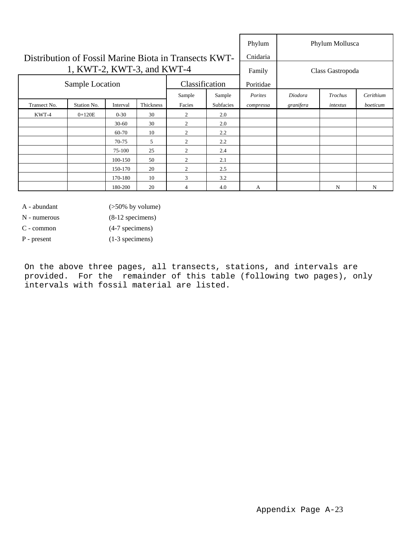|                                                       |                                      |           | Phylum |                  | Phylum Mollusca |           |           |          |           |
|-------------------------------------------------------|--------------------------------------|-----------|--------|------------------|-----------------|-----------|-----------|----------|-----------|
| Distribution of Fossil Marine Biota in Transects KWT- |                                      |           |        |                  |                 | Cnidaria  |           |          |           |
|                                                       | 1, KWT-2, KWT-3, and KWT-4           |           | Family | Class Gastropoda |                 |           |           |          |           |
|                                                       | Sample Location                      |           |        | Classification   |                 | Poritidae |           |          |           |
|                                                       |                                      |           |        | Sample           | Sample          | Porites   | Diodora   | Trochus  | Cerithium |
| Transect No.                                          | Thickness<br>Station No.<br>Interval |           |        | Facies           | Subfacies       | compressa | granifera | intextus | boeticum  |
| KWT-4                                                 | $0+120E$                             | $0 - 30$  | 30     | 2                | 2.0             |           |           |          |           |
|                                                       |                                      | $30-60$   | 30     | 2                | 2.0             |           |           |          |           |
|                                                       |                                      | $60 - 70$ | 10     | $\overline{c}$   | 2.2             |           |           |          |           |
|                                                       |                                      | $70-75$   | 5      | $\overline{c}$   | 2.2             |           |           |          |           |
|                                                       |                                      | 75-100    | 25     | 2                | 2.4             |           |           |          |           |
|                                                       |                                      | 100-150   | 50     | 2                | 2.1             |           |           |          |           |
|                                                       |                                      | 150-170   | 20     | 2                | 2.5             |           |           |          |           |
|                                                       |                                      | 170-180   | 10     | 3                | 3.2             |           |           |          |           |
|                                                       |                                      | 180-200   | 20     | 4                | 4.0             | A         |           | N        | N         |

A - abundant (>50% by volume)

N - numerous (8-12 specimens)

C - common (4-7 specimens)

P - present (1-3 specimens)

On the above three pages, all transects, stations, and intervals are provided. For the remainder of this table (following two pages), only intervals with fossil material are listed.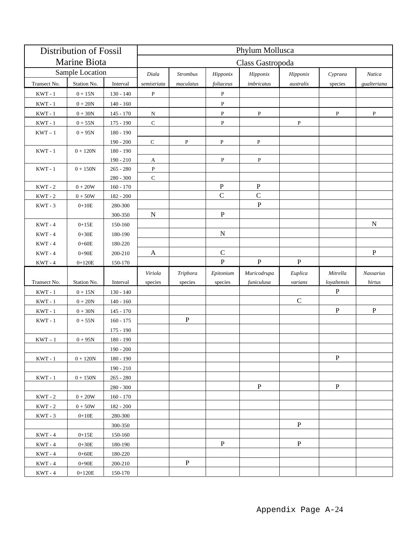| <b>Distribution of Fossil</b>          |                   |                            | Phylum Mollusca  |                 |               |              |              |              |              |  |  |  |  |
|----------------------------------------|-------------------|----------------------------|------------------|-----------------|---------------|--------------|--------------|--------------|--------------|--|--|--|--|
| Marine Biota                           |                   |                            | Class Gastropoda |                 |               |              |              |              |              |  |  |  |  |
|                                        | Sample Location   |                            | Diala            | <b>Strombus</b> | Hipponix      | Hipponix     | Hipponix     | Cypraea      | Natica       |  |  |  |  |
| Transect No.                           | Station No.       | Interval                   | semistriata      | maculatus       | foliaceus     | imbricatus   | australis    | species      | gualteriana  |  |  |  |  |
| $KWT - 1$                              | $0+15N$           | $130 - 140$                | $\, {\bf P}$     |                 | $\, {\bf P}$  |              |              |              |              |  |  |  |  |
| $KWT - 1$                              | $0+20\mathrm{N}$  | $140 - 160$                |                  |                 | $\, {\bf P}$  |              |              |              |              |  |  |  |  |
| $\ensuremath{\text{KWT}}\xspace$ - $1$ | $0+30\mathrm{N}$  | $145 - 170$                | N                |                 | $\mathbf P$   | $\, {\bf P}$ |              | P            | $\, {\bf P}$ |  |  |  |  |
| $KWT - 1$                              | $0+55\mathrm{N}$  | $175 - 190$                | ${\bf C}$        |                 | $\, {\bf P}$  |              | $\, {\bf P}$ |              |              |  |  |  |  |
| $\ensuremath{\text{KWT}}-1$            | $0 + 95N$         | $180 - 190$                |                  |                 |               |              |              |              |              |  |  |  |  |
|                                        |                   | $190 - 200$                | $\mathbf C$      | P               | P             | $\, {\bf P}$ |              |              |              |  |  |  |  |
| $\ensuremath{\text{KWT}}\xspace$ - $1$ | $0 + 120N$        | $180 - 190$                |                  |                 |               |              |              |              |              |  |  |  |  |
|                                        |                   | $190 - 210$                | A                |                 | ${\bf P}$     | ${\bf P}$    |              |              |              |  |  |  |  |
| $\ensuremath{\text{KWT}}\xspace$ - $1$ | $0+150\mathrm{N}$ | $265 - 280$                | $\, {\bf P}$     |                 |               |              |              |              |              |  |  |  |  |
| $KWT - 2$                              | $0 + 20W$         | $280 - 300$                | ${\bf C}$        |                 | $\mathbf P$   | ${\bf P}$    |              |              |              |  |  |  |  |
| $\ensuremath{\text{KWT}}$ - $2$        | $0+50W$           | $160 - 170$<br>$182 - 200$ |                  |                 | $\mathbf C$   | $\mathbf C$  |              |              |              |  |  |  |  |
| $KWT - 3$                              | $0+10E$           | 280-300                    |                  |                 |               | $\mathbf{P}$ |              |              |              |  |  |  |  |
|                                        |                   | 300-350                    | $\mathbf N$      |                 | ${\bf P}$     |              |              |              |              |  |  |  |  |
| $KWT - 4$                              | $0+15E$           | 150-160                    |                  |                 |               |              |              |              | $\mathbf N$  |  |  |  |  |
| $KWT - 4$                              | $0+30E$           | 180-190                    |                  |                 | ${\bf N}$     |              |              |              |              |  |  |  |  |
| $KWT - 4$                              | $0 + 60E$         | 180-220                    |                  |                 |               |              |              |              |              |  |  |  |  |
| $KWT - 4$                              | $0 + 90E$         | 200-210                    | A                |                 | $\mathcal{C}$ |              |              |              | $\, {\bf P}$ |  |  |  |  |
| $\ensuremath{\text{KWT}}\xspace$ - $4$ | $0 + 120E$        | 150-170                    |                  |                 | ${\bf P}$     | $\, {\bf P}$ | $\mathbf P$  |              |              |  |  |  |  |
|                                        |                   |                            | Viriola          | Triphora        | Epitonium     | Muricodrupa  | Euplica      | Mitrella     | Nassarius    |  |  |  |  |
| Transect No.                           | Station No.       | Interval                   | species          | species         | species       | funiculusa   | varians      | loyaltensis  | hirtus       |  |  |  |  |
| $KWT - 1$                              | $0 + 15N$         | $130 - 140$                |                  |                 |               |              |              | $\mathbf{P}$ |              |  |  |  |  |
| $KWT - 1$                              | $0+20\mathrm{N}$  | $140 - 160$                |                  |                 |               |              | $\mathsf C$  |              |              |  |  |  |  |
| $KWT - 1$                              | $0+30\mathrm{N}$  | $145 - 170$                |                  |                 |               |              |              | ${\bf P}$    | ${\bf P}$    |  |  |  |  |
| $KWT - 1$                              | $0+55N$           | $160 - 175$                |                  | $\, {\bf P}$    |               |              |              |              |              |  |  |  |  |
|                                        |                   | $175 - 190$                |                  |                 |               |              |              |              |              |  |  |  |  |
| $KWT-1$                                | $0 + 95N$         | $180 - 190$                |                  |                 |               |              |              |              |              |  |  |  |  |
|                                        |                   | $190 - 200$                |                  |                 |               |              |              |              |              |  |  |  |  |
| $KWT - 1$                              | $0 + 120N$        | $180 - 190$                |                  |                 |               |              |              | $\, {\bf P}$ |              |  |  |  |  |
|                                        |                   | $190 - 210$                |                  |                 |               |              |              |              |              |  |  |  |  |
| $KWT - 1$                              | $0 + 150N$        | $265 - 280$                |                  |                 |               |              |              |              |              |  |  |  |  |
|                                        |                   | $280 - 300$                |                  |                 |               | $\, {\bf P}$ |              | $\, {\bf P}$ |              |  |  |  |  |
| $KWT - 2$                              | $0 + 20W$         | $160 - 170$                |                  |                 |               |              |              |              |              |  |  |  |  |
| $KWT - 2$                              | $0+50W$           | 182 - 200                  |                  |                 |               |              |              |              |              |  |  |  |  |
| $KWT - 3$                              | $0+10E$           | 280-300                    |                  |                 |               |              |              |              |              |  |  |  |  |
|                                        |                   | 300-350                    |                  |                 |               |              | $\mathbf{P}$ |              |              |  |  |  |  |
| $KWT - 4$                              | $0 + 15E$         | 150-160                    |                  |                 |               |              |              |              |              |  |  |  |  |
| $KWT - 4$                              | $0+30E$           | 180-190                    |                  |                 | ${\bf P}$     |              | $\, {\bf P}$ |              |              |  |  |  |  |
| $KWT - 4$                              | $0 + 60E$         | 180-220                    |                  |                 |               |              |              |              |              |  |  |  |  |
| $KWT - 4$                              | $0 + 90E$         | 200-210                    |                  | $\mathbf{P}$    |               |              |              |              |              |  |  |  |  |
| $KWT - 4$                              | $0+120E$          | 150-170                    |                  |                 |               |              |              |              |              |  |  |  |  |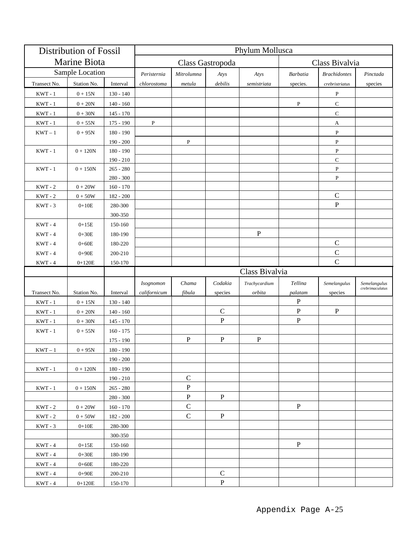| <b>Distribution of Fossil</b> |                        |                    | Phylum Mollusca |                  |                |                |              |                     |                                 |  |  |  |  |
|-------------------------------|------------------------|--------------------|-----------------|------------------|----------------|----------------|--------------|---------------------|---------------------------------|--|--|--|--|
| Marine Biota                  |                        |                    |                 | Class Gastropoda | Class Bivalvia |                |              |                     |                                 |  |  |  |  |
|                               | Sample Location        |                    | Peristernia     | Mitrolumna       | Atys           | Atys           | Barbatia     | <b>Brachidontes</b> | Pinctada                        |  |  |  |  |
| Transect No.                  | Station No.            | Interval           | chlorostoma     | metula           | debilis        | semistriata    | species.     | crebristriatus      | species                         |  |  |  |  |
| $KWT - 1$                     | $0 + 15N$              | $130 - 140$        |                 |                  |                |                |              | P                   |                                 |  |  |  |  |
| $KWT - 1$                     | $0 + 20N$              | $140 - 160$        |                 |                  |                |                | ${\bf P}$    | $\mathbf C$         |                                 |  |  |  |  |
| $KWT - 1$                     | $0 + 30N$              | $145 - 170$        |                 |                  |                |                |              | $\mathsf C$         |                                 |  |  |  |  |
| $KWT - 1$                     | $0+55N$                | $175 - 190$        | $\, {\bf P}$    |                  |                |                |              | A                   |                                 |  |  |  |  |
| $\text{KWT}-1$                | $0 + 95N$              | $180 - 190$        |                 |                  |                |                |              | P                   |                                 |  |  |  |  |
|                               |                        | $190 - 200$        |                 | $\mathbf{P}$     |                |                |              | $\, {\bf P}$        |                                 |  |  |  |  |
| $KWT - 1$                     | $0 + 120N$             | 180 - 190          |                 |                  |                |                |              | ${\bf P}$           |                                 |  |  |  |  |
|                               |                        | $190 - 210$        |                 |                  |                |                |              | $\mathbf C$         |                                 |  |  |  |  |
| $KWT - 1$                     | $0 + 150N$             | $265 - 280$        |                 |                  |                |                |              | ${\bf P}$           |                                 |  |  |  |  |
|                               |                        | $280 - 300$        |                 |                  |                |                |              | $\mathbf{P}$        |                                 |  |  |  |  |
| $KWT - 2$                     | $0+20\mathrm{W}$       | $160 - 170$        |                 |                  |                |                |              |                     |                                 |  |  |  |  |
| $KWT - 2$                     | $0+50W$                | $182 - 200$        |                 |                  |                |                |              | $\mathcal{C}$       |                                 |  |  |  |  |
| $KWT - 3$                     | $0 + 10E$              | 280-300            |                 |                  |                |                |              | ${\bf P}$           |                                 |  |  |  |  |
|                               |                        | 300-350            |                 |                  |                |                |              |                     |                                 |  |  |  |  |
| $KWT - 4$                     | $0+15E$                | 150-160            |                 |                  |                |                |              |                     |                                 |  |  |  |  |
| $KWT - 4$                     | $0 + 30E$              | 180-190            |                 |                  |                | $\mathbf{P}$   |              |                     |                                 |  |  |  |  |
| $KWT - 4$                     | $0 + 60E$              | 180-220            |                 |                  |                |                |              | $\mathsf C$         |                                 |  |  |  |  |
| $KWT - 4$                     | $0+90E$                | 200-210            |                 |                  |                |                |              | $\mathsf{C}$        |                                 |  |  |  |  |
| $KWT - 4$                     | $0+120E$               | 150-170            |                 |                  |                |                |              | $\mathbf C$         |                                 |  |  |  |  |
|                               |                        |                    |                 |                  |                |                |              |                     |                                 |  |  |  |  |
|                               |                        |                    |                 |                  |                | Class Bivalvia |              |                     |                                 |  |  |  |  |
|                               |                        |                    | Isognomon       | Chama            | Codakia        | Trachycardium  | Tellina      | Semelangulus        | Semelangulus<br>crebrimaculatus |  |  |  |  |
| Transect No.                  | Station No.            | Interval           | californicum    | fibula           | species        | orbita         | palatam      | species             |                                 |  |  |  |  |
| $KWT - 1$                     | $0 + 15N$              | $130 - 140$        |                 |                  |                |                | P            |                     |                                 |  |  |  |  |
| $KWT - 1$                     | $0 + 20N$              | $140 - 160$        |                 |                  | $\mathcal{C}$  |                | ${\bf P}$    | $\mathbf P$         |                                 |  |  |  |  |
| $KWT - 1$                     | $0 + 30N$              | $145 - 170$        |                 |                  | $\mathbf P$    |                | $\, {\bf P}$ |                     |                                 |  |  |  |  |
| $KWT - 1$                     | $0 + 55N$              | $160 - 175$        |                 |                  |                |                |              |                     |                                 |  |  |  |  |
|                               |                        | $175 - 190$        |                 | P                | ${\bf P}$      | ${\bf P}$      |              |                     |                                 |  |  |  |  |
| $KWT-1$                       | $0 + 95N$              | $180 - 190$        |                 |                  |                |                |              |                     |                                 |  |  |  |  |
|                               |                        | $190 - 200$        |                 |                  |                |                |              |                     |                                 |  |  |  |  |
| $KWT - 1$                     | $0 + 120N$             | $180 - 190$        |                 |                  |                |                |              |                     |                                 |  |  |  |  |
|                               |                        | $190 - 210$        |                 | $\mathbf C$      |                |                |              |                     |                                 |  |  |  |  |
| $KWT - 1$                     | $0 + 150N$             | $265 - 280$        |                 | ${\bf P}$        |                |                |              |                     |                                 |  |  |  |  |
|                               |                        | $280 - 300$        |                 | $\, {\bf P}$     | ${\bf P}$      |                |              |                     |                                 |  |  |  |  |
| $KWT - 2$                     | $0+20\mathrm{W}$       | $160 - 170$        |                 | $\mathbf C$      |                |                | $\mathbf{P}$ |                     |                                 |  |  |  |  |
| $KWT - 2$                     | $0+50W$                | 182 - 200          |                 | $\mathbf C$      | $\mathbf P$    |                |              |                     |                                 |  |  |  |  |
| $KWT - 3$                     | $0 + 10E$              | 280-300            |                 |                  |                |                |              |                     |                                 |  |  |  |  |
|                               |                        | 300-350            |                 |                  |                |                |              |                     |                                 |  |  |  |  |
| $KWT - 4$                     | $0+15E$                | 150-160            |                 |                  |                |                | $\, {\bf P}$ |                     |                                 |  |  |  |  |
| $KWT - 4$                     | $0 + 30E$              | 180-190            |                 |                  |                |                |              |                     |                                 |  |  |  |  |
| $KWT - 4$<br>$KWT - 4$        | $0 + 60E$<br>$0 + 90E$ | 180-220<br>200-210 |                 |                  | C              |                |              |                     |                                 |  |  |  |  |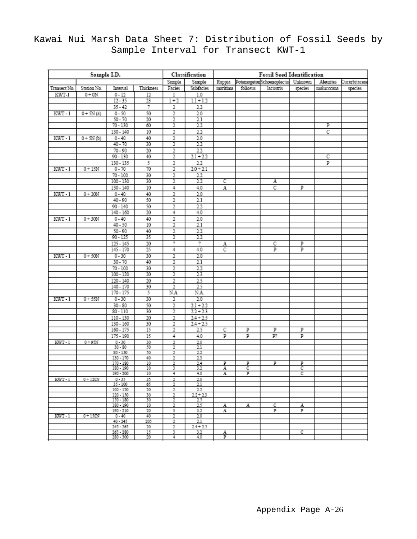|              |             | Classification         | <b>Fossil Seed Identification</b>                                         |                         |             |          |          |           |         |            |         |
|--------------|-------------|------------------------|---------------------------------------------------------------------------|-------------------------|-------------|----------|----------|-----------|---------|------------|---------|
|              | Sample      | Sample                 | PotamogetonSchoenoplectus Unknown<br>Ruppia<br>Aleurites<br>Cucurbitaceae |                         |             |          |          |           |         |            |         |
| Transect No. | Station No. | Interval               | Thickness                                                                 | Facies                  | Subfacies   | maritima | foliosus | lacustris | species | molucccana | species |
| KWT-1        | $0+0N$      | $0 - 12$               | 12                                                                        | 1                       | 1.0         |          |          |           |         |            |         |
|              |             | $12 - 35$              | $\overline{23}$                                                           | $1 + 2$                 | $1.1 + 1.2$ |          |          |           |         |            |         |
|              |             | $35 - 42$              | 7                                                                         | 2                       | 22          |          |          |           |         |            |         |
|              | $0 + 5N(a)$ | $0 - 50$               | 50                                                                        |                         | 2.0         |          |          |           |         |            |         |
| $KWT-1$      |             |                        |                                                                           | 2                       |             |          |          |           |         |            |         |
|              |             | $50 - 70$              | 20                                                                        | 2                       | 2.1         |          |          |           |         |            |         |
|              |             | $70 - 130$             | 60                                                                        | 2                       | $^{22}$     |          |          |           |         | Р          |         |
|              |             | $130 - 140$            | 10                                                                        | 2                       | $^{22}$     |          |          |           |         | C          |         |
| $KWT-1$      | $0 + 5N(b)$ | $0 - 40$               | 40                                                                        | 2                       | 2.0         |          |          |           |         |            |         |
|              |             | $40 - 70$              | 30                                                                        | 2                       | $^{22}$     |          |          |           |         |            |         |
|              |             | $70 - 90$              | 20                                                                        | 2                       | 22          |          |          |           |         |            |         |
|              |             | 90 - 130               | 40                                                                        | 2                       | $21 + 22$   |          |          |           |         | с          |         |
|              |             | 130 - 135              | 5                                                                         | 2                       | 22          |          |          |           |         | р          |         |
| $KWT-1$      | $0 + 15N$   | $0 - 70$               | 70                                                                        | 2                       | $2.0 + 2.1$ |          |          |           |         |            |         |
|              |             | $70 - 100$             | 30                                                                        | 2                       | 22          |          |          |           |         |            |         |
|              |             |                        |                                                                           |                         |             |          |          |           |         |            |         |
|              |             | $100 - 130$            | 30                                                                        | 2                       | $^{22}$     | с        |          | А         |         |            |         |
|              |             | $130 - 140$            | 10                                                                        | 4                       | 4.0         | А        |          | C         | Р       |            |         |
| $KWT-1$      | $0 + 20N$   | $0 - 40$               | 40                                                                        | 2                       | 2.0         |          |          |           |         |            |         |
|              |             | $40 - 90$              | 50                                                                        | 2                       | 2.1         |          |          |           |         |            |         |
|              |             | $90 - 140$             | 50                                                                        | 2                       | 22          |          |          |           |         |            |         |
|              |             | 140 - 160              | 20                                                                        | 4                       | 4.0         |          |          |           |         |            |         |
| $KWT-1$      | $0 + 30N$   | $0 - 40$               | 40                                                                        | 2                       | 2.0         |          |          |           |         |            |         |
|              |             | $40 - 50$              | 10                                                                        | 2                       | $^{2.1}$    |          |          |           |         |            |         |
|              |             | $50 - 90$              | 40                                                                        | 2                       | 22          |          |          |           |         |            |         |
|              |             | $90 - 125$             | 35                                                                        | $\overline{\mathbf{r}}$ | $^{22}$     |          |          |           |         |            |         |
|              |             |                        |                                                                           |                         |             |          |          |           |         |            |         |
|              |             | 125 - 145              | 20                                                                        | 7                       | 7           | A        |          | С         | Р       |            |         |
|              |             | 145 - 170              | 25                                                                        | 4                       | 4.0         | C        |          | р         | р       |            |         |
| $KWT-1$      | $0 + 50N$   | $0 - 30$               | 30                                                                        | 2                       | 2.0         |          |          |           |         |            |         |
|              |             | $30 - 70$              | 40                                                                        | $\overline{2}$          | 2.1         |          |          |           |         |            |         |
|              |             | $70 - 100$             | 30                                                                        | 2                       | 22          |          |          |           |         |            |         |
|              |             | 100 - 120              | 20                                                                        | 2                       | 23          |          |          |           |         |            |         |
|              |             | 120 - 140              | 20                                                                        | $\overline{2}$          | 25          |          |          |           |         |            |         |
|              |             | $140 - 170$            | 30                                                                        | 2                       | 25          |          |          |           |         |            |         |
|              |             | $170 - 175$            | 5                                                                         | N.A.                    | NA.         |          |          |           |         |            |         |
| $KWT-1$      | $0 + 55N$   | $0 - 30$               | 30                                                                        | 2                       | 2.0         |          |          |           |         |            |         |
|              |             |                        |                                                                           |                         |             |          |          |           |         |            |         |
|              |             | $30 - 80$              | 50                                                                        | 2                       | $21 + 22$   |          |          |           |         |            |         |
|              |             | $$0 - 110$             | 30                                                                        | 2                       | $22 + 23$   |          |          |           |         |            |         |
|              |             | 110 - 130              | 20                                                                        | 2                       | $24 + 25$   |          |          |           |         |            |         |
|              |             | 130 - 160              | 30                                                                        | 2                       | $24 + 25$   |          |          |           |         |            |         |
|              |             | $160 - 175$            | 15                                                                        | 2                       | 25          | с        | P        | P         | Þ       |            |         |
|              |             | $175 - 190$            | 15                                                                        | 4                       | 4.0         | Þ        | Þ        | Þ?        | Þ       |            |         |
| $KWT-1$      | $0 + 95N$   | $0 - 30$               | 30                                                                        | $\overline{2}$          | 2.0         |          |          |           |         |            |         |
|              |             | $30 - 80$              | 50                                                                        | 2                       | 21          |          |          |           |         |            |         |
|              |             | $80 - 130$             | 50                                                                        | 2                       | $_{22}$     |          |          |           |         |            |         |
|              |             | 130 - 170              | 40                                                                        | 2                       | 23          |          |          |           |         |            |         |
|              |             | 170 - 180              | 10                                                                        | 2                       | 24          | P        | P        | Þ         | P       |            |         |
|              |             | 180 - 190              | 10                                                                        | 3                       | 32          | A        | С        |           | с       |            |         |
|              |             | 190 - 200              | 10                                                                        | 4                       | 4.0         | А        | P        |           | с       |            |         |
| KWT-1        | $0 + 120N$  | $0 - 35$<br>$35 - 100$ | 35<br>65                                                                  | 2<br>2                  | 2.0<br>2.1  |          |          |           |         |            |         |
|              |             | 100 - 120              | 20                                                                        | 2                       | 22          |          |          |           |         |            |         |
|              |             | 120 - 150              | 30                                                                        | 2                       | $2.2 + 2.3$ |          |          |           |         |            |         |
|              |             | 150 - 180              | 30                                                                        | 2                       | 25          |          |          |           |         |            |         |
|              |             | 180 - 190              | 10                                                                        | 2                       | 25          | A        | А        | С         | А       |            |         |
|              |             | 190 - 210              | 20                                                                        | 3                       | 3.2         | А        |          | Р         | P       |            |         |
| $KWT-1$      | $0 + 150N$  | $0 - 40$               | 40                                                                        | 2                       | 2.0         |          |          |           |         |            |         |
|              |             | $40 - 245$             | 205                                                                       | 2                       | 2.1         |          |          |           |         |            |         |
|              |             | 245 - 265              | 20                                                                        | 2                       | $2.4 + 2.5$ |          |          |           |         |            |         |
|              |             | $265 - 280$            | 15                                                                        | 3.                      | 3.2         | А        |          |           | с       |            |         |
|              |             | 280 - 300              | 20                                                                        | 4                       | 40          | P        |          |           |         |            |         |

### Kawai Nui Marsh Data Sheet 7: Distribution of Fossil Seeds by Sample Interval for Transect KWT-1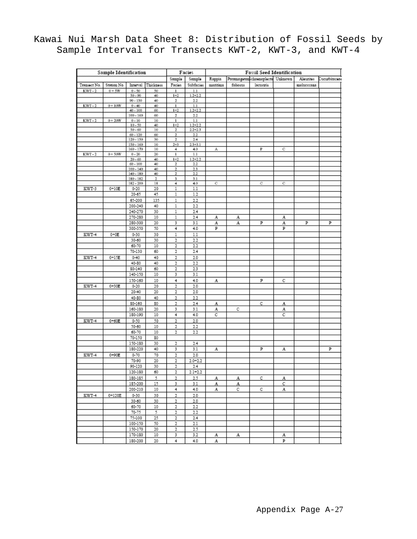|  | Kawai Nui Marsh Data Sheet 8: Distribution of Fossil Seeds by |  |  |  |  |  |  |
|--|---------------------------------------------------------------|--|--|--|--|--|--|
|  | Sample Interval for Transects KWT-2, KWT-3, and KWT-4         |  |  |  |  |  |  |

| Sample Identification |             |                         | Facies                  |                              |                         |              |                                                                        |           |           |               |   |
|-----------------------|-------------|-------------------------|-------------------------|------------------------------|-------------------------|--------------|------------------------------------------------------------------------|-----------|-----------|---------------|---|
|                       |             |                         | Sample                  | Sample                       | Ruppia                  |              | <b>Fossil Seed Identification</b><br>Potamogeton Schoenoplectu Unknown |           | Aleurites | Cucurbitaceae |   |
| Transact No.          | Station No. | Interval                | Thickness               | Facios                       | Subfacies               | maritima     | foliosus                                                               | lacustris |           | molucocana    |   |
| $KWT-2$               | $0+5W$      | $0 - 50$                | 50                      | 1                            | 1.1                     |              |                                                                        |           |           |               |   |
|                       |             | $50 - 90$               | 40                      | $1 + 2$                      | $1.2 + 2.2$             |              |                                                                        |           |           |               |   |
|                       |             | $90 - 130$              | 40                      | 2                            | $^{2.2}$                |              |                                                                        |           |           |               |   |
| $KWT-2$               | $0 + 10W$   | $0 - 40$<br>$40 - 100$  | 40<br>60                | $\mathbf{1}$<br>$1 + 2$      | 1.1<br>$1.2 + 2.2$      |              |                                                                        |           |           |               |   |
|                       |             | $100 - 160$             | 60                      | 2                            | 2.2                     |              |                                                                        |           |           |               |   |
| $KWT-2$               | $0 + 20W$   | $0 - 10$                | 10                      | $\overline{1}$               | 1.1                     |              |                                                                        |           |           |               |   |
|                       |             | $10 - 50$               | 40                      | $1 + 2$                      | $1.2 + 2.2$             |              |                                                                        |           |           |               |   |
|                       |             | $50 - 60$<br>$60 - 120$ | 10<br>60                | 2<br>$\overline{\mathbf{2}}$ | $2.2 + 2.3$<br>$^{2.2}$ |              |                                                                        |           |           |               |   |
|                       |             | 120 - 150               | 30                      | 2                            | 2.4                     |              |                                                                        |           |           |               |   |
|                       |             | 150 - 160               | 10                      | $2 + 3$                      | $2.3 + 3.1$             |              |                                                                        |           |           |               |   |
|                       |             | $160 - 170$             | 10                      | 4                            | 4.0                     | А            |                                                                        | P         | с         |               |   |
| KWT-2                 | $0 + 50W$   | $0 - 20$                | 20                      | $\bf{l}$                     | 1.1                     |              |                                                                        |           |           |               |   |
|                       |             | $20 - 60$<br>$60 - 100$ | 40<br>40                | $1 + 2$<br>2                 | $1.2 + 2.2$<br>$^{2.2}$ |              |                                                                        |           |           |               |   |
|                       |             | $100 - 140$             | 40                      | $\overline{\mathbf{r}}$      | 2.3                     |              |                                                                        |           |           |               |   |
|                       |             | $140 - 180$             | 40                      | $\overline{\mathbf{2}}$      | $^{2.2}$                |              |                                                                        |           |           |               |   |
|                       |             | 180 - 182               | $\overline{\mathbf{r}}$ | з                            | 3.1                     |              |                                                                        |           |           |               |   |
|                       |             | 182 - 200               | 18                      | 4                            | 4.0                     | C            |                                                                        | C         | С         |               |   |
| KWT-3                 | $0 + 10E$   | $0 - 20$                | 20                      | 1                            | 1.1                     |              |                                                                        |           |           |               |   |
|                       |             | 20-65                   | 45                      | 1                            | 1.2                     |              |                                                                        |           |           |               |   |
|                       |             | 65-200                  | 135                     | 1                            | 2.2                     |              |                                                                        |           |           |               |   |
|                       |             | 200-240                 | 40                      | 1                            | 2.2                     |              |                                                                        |           |           |               |   |
|                       |             | 240 270                 | 30<br>10                | 1                            | 2.4                     |              |                                                                        |           |           |               |   |
|                       |             | 270-280<br>280-300      | 20                      | 1<br>3                       | 2.4<br>3.1              | А<br>A       | А<br>A                                                                 | P         | А<br>A    | P             | P |
|                       |             | 300-350                 | 50                      | 4                            | 4.0                     | P            |                                                                        |           | P         |               |   |
| KWT-4                 | $0 + 0E$    | $0 - 30$                | 30                      | 1                            | 1.1                     |              |                                                                        |           |           |               |   |
|                       |             | 30-60                   | 30                      | 2                            | 2.2                     |              |                                                                        |           |           |               |   |
|                       |             | 60-70                   | 10                      | 2                            | 2.2                     |              |                                                                        |           |           |               |   |
|                       |             | 70-130                  | 60                      | 2                            | 2.4                     |              |                                                                        |           |           |               |   |
| KWT-4                 | $0 + 15E$   | $0 - 40$                | 40                      | 2                            | 2.0                     |              |                                                                        |           |           |               |   |
|                       |             | 40-80                   | 40                      | 2                            | 2.2                     |              |                                                                        |           |           |               |   |
|                       |             | 80-140                  | 60                      | 2                            | 2.3                     |              |                                                                        |           |           |               |   |
|                       |             | 140-150                 | 10                      | 3                            | 3.1                     |              |                                                                        |           |           |               |   |
|                       |             | 150-160                 | 10                      | 4                            | 4.0                     | А            |                                                                        | P         | с         |               |   |
| KWT-4                 | $0 + 30E$   | $0 - 20$                | 20                      | 2                            | 2.0                     |              |                                                                        |           |           |               |   |
|                       |             | $20 - 40$               | 20                      | $\overline{2}$               | 2.0                     |              |                                                                        |           |           |               |   |
|                       |             | 40-80                   | 40                      | $\overline{2}$               | 2.2                     |              |                                                                        |           |           |               |   |
|                       |             | 80-160                  | 80                      | 2                            | 2.4                     | A            |                                                                        | С         | A         |               |   |
|                       |             | 160-180                 | 20                      | 3                            | 3.1                     | A            | с                                                                      |           | A         |               |   |
|                       |             | 180-190                 | 10                      | 4                            | 4.0                     | с            |                                                                        |           | с         |               |   |
| KWT-4                 | $0 + 60E$   | $0 - 50$                | 50                      | $\overline{2}$               | 2.0                     |              |                                                                        |           |           |               |   |
|                       |             | 50-60                   | 10                      | 2                            | 2.2                     |              |                                                                        |           |           |               |   |
|                       |             | 60-70                   | 10                      | 2                            | 2.2                     |              |                                                                        |           |           |               |   |
|                       |             | 70-150                  | 80                      |                              |                         |              |                                                                        |           |           |               |   |
|                       |             | 150-180                 | 30                      | 2                            | 2.4                     |              |                                                                        |           |           |               |   |
|                       |             | 180-220                 | 40                      | 3                            | 3.1                     | A            |                                                                        | P         | А         |               | Þ |
| KWT-4                 | $0 + 90E$   | $0 - 70$                | 70                      | $\overline{2}$               | 2.0                     |              |                                                                        |           |           |               |   |
|                       |             | 70-90                   | 20                      | 2                            | $2.0 + 2.2$             |              |                                                                        |           |           |               |   |
|                       |             | 90-120                  | 30                      | 2                            | 2.4                     |              |                                                                        |           |           |               |   |
|                       |             | 120-180                 | 60                      | 2                            | 2.1+2.2                 |              |                                                                        |           |           |               |   |
|                       |             | 180-185                 | 5                       | 2                            | 2.5                     | A            | А                                                                      | с         | A         |               |   |
|                       |             | 185-200                 | 15                      | 3                            | 3.1                     | A            | А                                                                      |           | с         |               |   |
|                       |             | 200-210                 | 10                      | 4                            | 4.0                     | A            | с                                                                      | с         | A         |               |   |
| KWT-4                 | $0 + 120E$  | $0 - 30$                | 30                      | 2                            | 2.0                     |              |                                                                        |           |           |               |   |
|                       |             | 30-60                   | 30                      | 2                            | 2.0                     |              |                                                                        |           |           |               |   |
|                       |             | 60-70                   | 10<br>5                 | 2                            | 2.2                     |              |                                                                        |           |           |               |   |
|                       |             | $70 - 75$<br>75-100     | 25                      | 2                            | 2.2                     |              |                                                                        |           |           |               |   |
|                       |             | 100-150                 | 50                      | 2<br>2                       | 2.4<br>2.1              |              |                                                                        |           |           |               |   |
|                       |             | 150-170                 | 20                      | 2                            | 2.5                     |              |                                                                        |           |           |               |   |
|                       |             | 170-180                 | 10                      | 3                            | 3.2                     | А            | А                                                                      |           | А         |               |   |
|                       |             | 180-200                 | 20.                     | 4                            | 40                      | $\mathbf{A}$ |                                                                        |           | Þ         |               |   |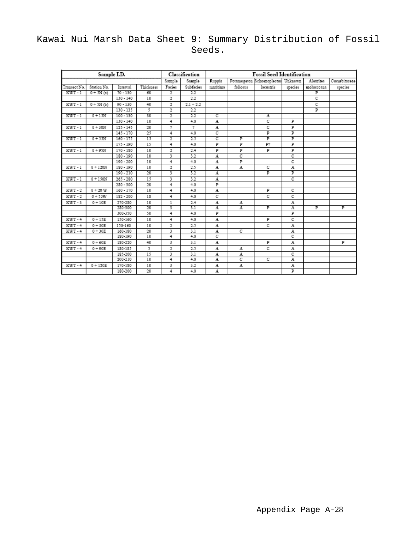### Kawai Nui Marsh Data Sheet 9: Summary Distribution of Fossil Seeds.

|              | Sample I.D. |             |           |                | Classification | <b>Fossil Seed Identification</b> |          |                                    |         |            |               |  |
|--------------|-------------|-------------|-----------|----------------|----------------|-----------------------------------|----------|------------------------------------|---------|------------|---------------|--|
|              |             |             |           | Sample         | Sample         | Ruppia                            |          | Potamogeton Schoenoplectus Unknown |         | Aleurites  | Cucurbitaceae |  |
| Transact No. | Station No. | Interval    | Thickness | Facies         | Subfacies      | maritima                          | foliosus | lacustris                          | species | molucceana | species       |  |
| $KWT-1$      | $0 + 5N(a)$ | $70 - 130$  | 60        | 2              | 22             |                                   |          |                                    |         | р          |               |  |
|              |             | $130 - 140$ | 10        | $\overline{2}$ | 22             |                                   |          |                                    |         | с          |               |  |
| KWT-1        | $0 + 5N(b)$ | $90 - 130$  | 40        | 2              | $2.1 + 2.2$    |                                   |          |                                    |         | с          |               |  |
|              |             | $130 - 135$ | 5         | $\overline{2}$ | 22             |                                   |          |                                    |         | P          |               |  |
| $KWT-1$      | $0 + 15N$   | $100 - 130$ | 30        | 2              | 22             | с                                 |          | A                                  |         |            |               |  |
|              |             | $130 - 140$ | 10        | 4              | 4.0            | A                                 |          | c                                  | P       |            |               |  |
| KWT-1        | $0 + 30N$   | $125 - 145$ | 20        | 2              | 2              | A                                 |          | C                                  | Þ       |            |               |  |
|              |             | $145 - 170$ | 25        | 4              | 4.0            | c                                 |          | Þ                                  | P       |            |               |  |
| $KWT-1$      | $0 + 55N$   | $160 - 175$ | 15        | $\overline{2}$ | 2.5            | с                                 | p        | P                                  | ₽       |            |               |  |
|              |             | $175 - 190$ | 15        | 4              | 4.0            | р                                 | р        | P?                                 | P       |            |               |  |
| KWT-1        | $0 + 95N$   | $170 - 180$ | 10        | 2              | 2.4            | P                                 | p        | P                                  | P       |            |               |  |
|              |             | 180 - 190   | 10        | 3              | 3.2            | A                                 | С        |                                    | C       |            |               |  |
|              |             | $190 - 200$ | 10        | 4              | 4.0            | A                                 | p        |                                    | C       |            |               |  |
| KWT-1        | $0 + 120N$  | $180 - 190$ | 10        | $\overline{2}$ | 25             | A                                 | A        | с                                  | A       |            |               |  |
|              |             | $190 - 210$ | 20        | 3              | 32             | A                                 |          | P                                  | P       |            |               |  |
| KWT-1        | $0 + 150N$  | $265 - 280$ | 15        | 3              | 3.2            | A                                 |          |                                    | с       |            |               |  |
|              |             | $280 - 300$ | 20        | 4              | 4.0            | P                                 |          |                                    |         |            |               |  |
| $KWT-2$      | $0 + 20 W$  | $160 - 170$ | 10        | 4              | 4.0            | A                                 |          | P                                  | с       |            |               |  |
| $KWT-2$      | $0 + 50W$   | $182 - 200$ | 18        | 4              | 4.0            | с                                 |          | C                                  | C       |            |               |  |
| KWT-3        | $0 + 10E$   | 270-280     | 10        | 1              | 2.4            | A                                 | А        |                                    | A       |            |               |  |
|              |             | 280-300     | 20        | 3              | 3.1            | $\overline{A}$                    | A        | P                                  | A       | P          | P             |  |
|              |             | 300-350     | 50        | $\overline{4}$ | 4.0            | P                                 |          |                                    | P       |            |               |  |
| $KWT-4$      | $0 + 15E$   | 150-160     | 10        | 4              | 4.0            | A                                 |          | P                                  | C       |            |               |  |
| KWT-4        | $0 + 30E$   | 150-160     | 10        | 2              | 2.5            | A                                 |          | C                                  | A       |            |               |  |
| KWT-4        | $0 + 30E$   | 160-180     | 20        | 3              | 3.1            | A                                 | с        |                                    | A       |            |               |  |
|              |             | 180-190     | 10        | 4              | 4.0            | с                                 |          |                                    | ट       |            |               |  |
| KWT-4        | $0 + 60E$   | 180-220     | 40        | 3              | 3.1            | A                                 |          | P                                  | A       |            | P             |  |
| $KWT-4$      | $0 + 90E$   | 180-185     | 5         | 2              | 2.5            | A                                 | А        | C                                  | A       |            |               |  |
|              |             | 185-200     | 15        | 3              | 3.1            | A                                 | A        |                                    | С       |            |               |  |
|              |             | 200-210     | 10        | 4              | 4.0            | A                                 | с        | с                                  | A       |            |               |  |
| $KWT-4$      | $0 + 120E$  | 170-180     | 10        | 3              | 3.2            | A                                 | A        |                                    | A       |            |               |  |
|              |             | 180-200     | 20        | 4              | 4.0            | A                                 |          |                                    | Þ       |            |               |  |